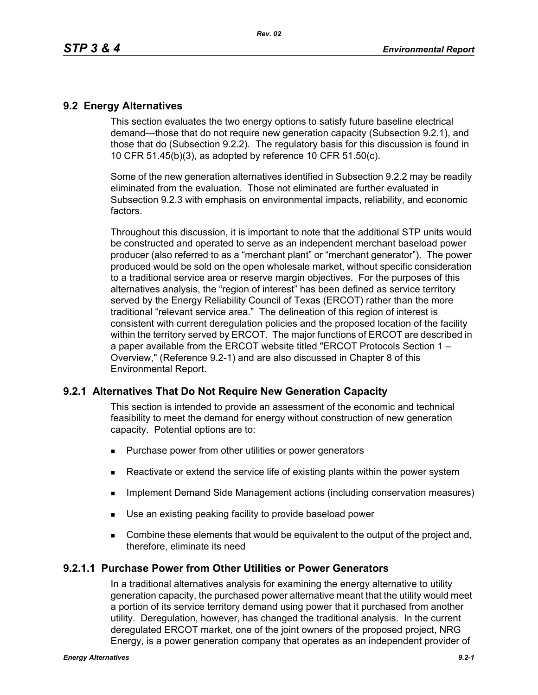### **9.2 Energy Alternatives**

This section evaluates the two energy options to satisfy future baseline electrical demand—those that do not require new generation capacity (Subsection 9.2.1), and those that do (Subsection 9.2.2). The regulatory basis for this discussion is found in 10 CFR 51.45(b)(3), as adopted by reference 10 CFR 51.50(c).

Some of the new generation alternatives identified in Subsection 9.2.2 may be readily eliminated from the evaluation. Those not eliminated are further evaluated in Subsection 9.2.3 with emphasis on environmental impacts, reliability, and economic factors.

Throughout this discussion, it is important to note that the additional STP units would be constructed and operated to serve as an independent merchant baseload power producer (also referred to as a "merchant plant" or "merchant generator"). The power produced would be sold on the open wholesale market, without specific consideration to a traditional service area or reserve margin objectives. For the purposes of this alternatives analysis, the "region of interest" has been defined as service territory served by the Energy Reliability Council of Texas (ERCOT) rather than the more traditional "relevant service area." The delineation of this region of interest is consistent with current deregulation policies and the proposed location of the facility within the territory served by ERCOT. The major functions of ERCOT are described in a paper available from the ERCOT website titled "ERCOT Protocols Section 1 – Overview," (Reference 9.2-1) and are also discussed in Chapter 8 of this Environmental Report.

## **9.2.1 Alternatives That Do Not Require New Generation Capacity**

This section is intended to provide an assessment of the economic and technical feasibility to meet the demand for energy without construction of new generation capacity. Potential options are to:

- **Purchase power from other utilities or power generators**
- **EXECT** Reactivate or extend the service life of existing plants within the power system
- **IMPLEMENTER IMPLEMENT MANAGEMENT ACTS IMPLEMENT CONSERVATION MANAGEMENT IMPLEMENT IMPLEMENT CONSET**
- Use an existing peaking facility to provide baseload power
- **Combine these elements that would be equivalent to the output of the project and,** therefore, eliminate its need

### **9.2.1.1 Purchase Power from Other Utilities or Power Generators**

In a traditional alternatives analysis for examining the energy alternative to utility generation capacity, the purchased power alternative meant that the utility would meet a portion of its service territory demand using power that it purchased from another utility. Deregulation, however, has changed the traditional analysis. In the current deregulated ERCOT market, one of the joint owners of the proposed project, NRG Energy, is a power generation company that operates as an independent provider of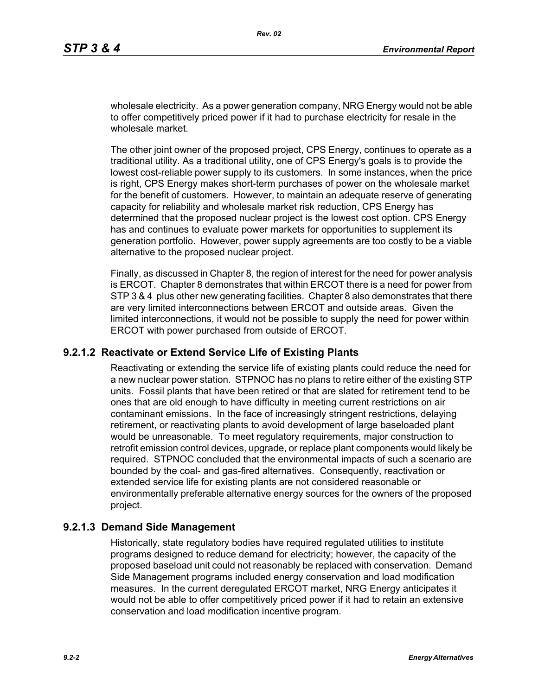wholesale electricity. As a power generation company, NRG Energy would not be able to offer competitively priced power if it had to purchase electricity for resale in the wholesale market

The other joint owner of the proposed project, CPS Energy, continues to operate as a traditional utility. As a traditional utility, one of CPS Energy's goals is to provide the lowest cost-reliable power supply to its customers. In some instances, when the price is right, CPS Energy makes short-term purchases of power on the wholesale market for the benefit of customers. However, to maintain an adequate reserve of generating capacity for reliability and wholesale market risk reduction, CPS Energy has determined that the proposed nuclear project is the lowest cost option. CPS Energy has and continues to evaluate power markets for opportunities to supplement its generation portfolio. However, power supply agreements are too costly to be a viable alternative to the proposed nuclear project.

Finally, as discussed in Chapter 8, the region of interest for the need for power analysis is ERCOT. Chapter 8 demonstrates that within ERCOT there is a need for power from STP 3 & 4 plus other new generating facilities. Chapter 8 also demonstrates that there are very limited interconnections between ERCOT and outside areas. Given the limited interconnections, it would not be possible to supply the need for power within ERCOT with power purchased from outside of ERCOT.

### **9.2.1.2 Reactivate or Extend Service Life of Existing Plants**

Reactivating or extending the service life of existing plants could reduce the need for a new nuclear power station. STPNOC has no plans to retire either of the existing STP units. Fossil plants that have been retired or that are slated for retirement tend to be ones that are old enough to have difficulty in meeting current restrictions on air contaminant emissions. In the face of increasingly stringent restrictions, delaying retirement, or reactivating plants to avoid development of large baseloaded plant would be unreasonable. To meet regulatory requirements, major construction to retrofit emission control devices, upgrade, or replace plant components would likely be required. STPNOC concluded that the environmental impacts of such a scenario are bounded by the coal- and gas-fired alternatives. Consequently, reactivation or extended service life for existing plants are not considered reasonable or environmentally preferable alternative energy sources for the owners of the proposed project.

### **9.2.1.3 Demand Side Management**

Historically, state regulatory bodies have required regulated utilities to institute programs designed to reduce demand for electricity; however, the capacity of the proposed baseload unit could not reasonably be replaced with conservation. Demand Side Management programs included energy conservation and load modification measures. In the current deregulated ERCOT market, NRG Energy anticipates it would not be able to offer competitively priced power if it had to retain an extensive conservation and load modification incentive program.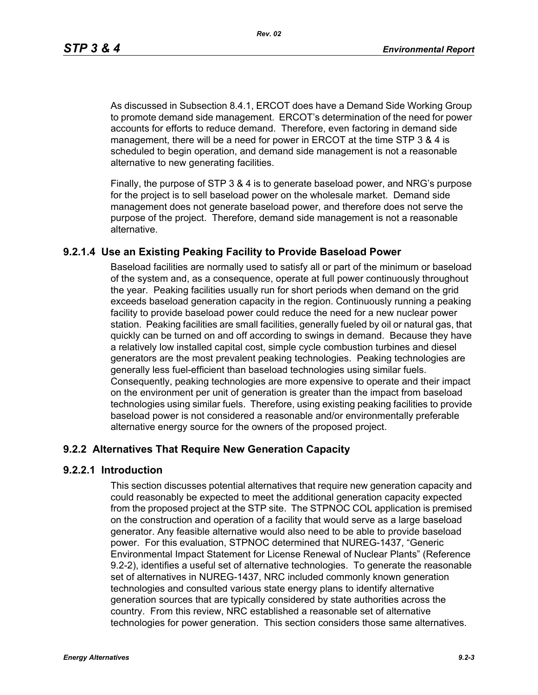As discussed in Subsection 8.4.1, ERCOT does have a Demand Side Working Group to promote demand side management. ERCOT's determination of the need for power accounts for efforts to reduce demand. Therefore, even factoring in demand side management, there will be a need for power in ERCOT at the time STP 3 & 4 is scheduled to begin operation, and demand side management is not a reasonable alternative to new generating facilities.

[Finally, the purpose of STP 3 & 4 is to generate baseload power, and NRG's purpose](http://www.eere.energy.gov/windandhydro/windpoweringamerica/pdfs/power_supply_guidebook.pdf)  for the project is to sell baseload power on the wholesale market. Demand side management does not generate baseload power, and therefore does not serve the purpose of the project. Therefore, demand side management is not a reasonable alternative.

## **9.2.1.4 Use an Existing Peaking Facility to Provide Baseload Power**

Baseload facilities are normally used to satisfy all or part of the minimum or baseload of the system and, as a consequence, operate at full power continuously throughout the year. Peaking facilities usually run for short periods when demand on the grid exceeds baseload generation capacity in the region. Continuously running a peaking facility to provide baseload power could reduce the need for a new nuclear power station. Peaking facilities are small facilities, generally fueled by oil or natural gas, that quickly can be turned on and off according to swings in demand. Because they have a relatively low installed capital cost, simple cycle combustion turbines and diesel generators are the most prevalent peaking technologies. Peaking technologies are generally less fuel-efficient than baseload technologies using similar fuels. Consequently, peaking technologies are more expensive to operate and their impact on the environment per unit of generation is greater than the impact from baseload technologies using similar fuels. Therefore, using existing peaking facilities to provide baseload power is not considered a reasonable and/or environmentally preferable alternative energy source for the owners of the proposed project.

## **9.2.2 Alternatives That Require New Generation Capacity**

### **9.2.2.1 Introduction**

This section discusses potential alternatives that require new generation capacity and could reasonably be expected to meet the additional generation capacity expected from the proposed project at the STP site. The STPNOC COL application is premised on the construction and operation of a facility that would serve as a large baseload generator. Any feasible alternative would also need to be able to provide baseload power. For this evaluation, STPNOC determined that NUREG-1437, "Generic Environmental Impact Statement for License Renewal of Nuclear Plants" (Reference 9.2-2), identifies a useful set of alternative technologies. To generate the reasonable set of alternatives in NUREG-1437, NRC included commonly known generation technologies and consulted various state energy plans to identify alternative generation sources that are typically considered by state authorities across the country. From this review, NRC established a reasonable set of alternative technologies for power generation. This section considers those same alternatives.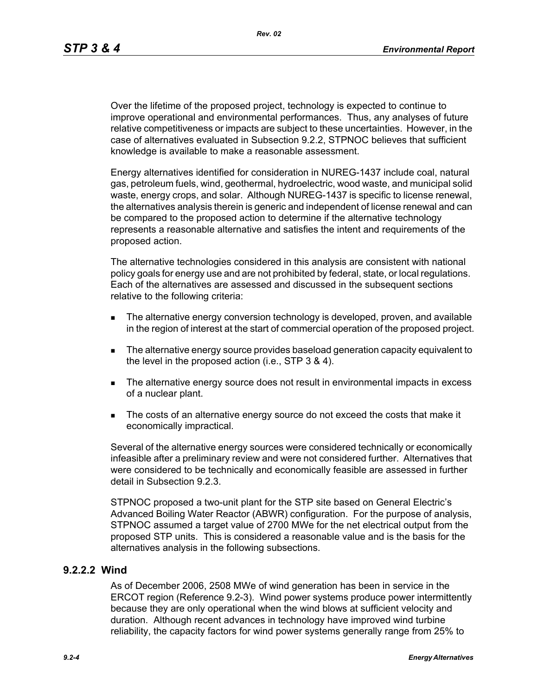Over the lifetime of the proposed project, technology is expected to continue to improve operational and environmental performances. Thus, any analyses of future relative competitiveness or impacts are subject to these uncertainties. However, in the case of alternatives evaluated in Subsection 9.2.2, STPNOC believes that sufficient knowledge is available to make a reasonable assessment.

Energy alternatives identified for consideration in NUREG-1437 include coal, natural gas, petroleum fuels, wind, geothermal, hydroelectric, wood waste, and municipal solid waste, energy crops, and solar. Although NUREG-1437 is specific to license renewal, the alternatives analysis therein is generic and independent of license renewal and can be compared to the proposed action to determine if the alternative technology represents a reasonable alternative and satisfies the intent and requirements of the proposed action.

The alternative technologies considered in this analysis are consistent with national policy goals for energy use and are not prohibited by federal, state, or local regulations. Each of the alternatives are assessed and discussed in the subsequent sections relative to the following criteria:

- **The alternative energy conversion technology is developed, proven, and available** in the region of interest at the start of commercial operation of the proposed project.
- The alternative energy source provides baseload generation capacity equivalent to the level in the proposed action (i.e., STP 3 & 4).
- The alternative energy source does not result in environmental impacts in excess of a nuclear plant.
- The costs of an alternative energy source do not exceed the costs that make it economically impractical.

Several of the alternative energy sources were considered technically or economically infeasible after a preliminary review and were not considered further. Alternatives that were considered to be technically and economically feasible are assessed in further detail in Subsection 9.2.3.

STPNOC proposed a two-unit plant for the STP site based on General Electric's Advanced Boiling Water Reactor (ABWR) configuration. For the purpose of analysis, STPNOC assumed a target value of 2700 MWe for the net electrical output from the proposed STP units. This is considered a reasonable value and is the basis for the alternatives analysis in the following subsections.

## **9.2.2.2 Wind**

As of December 2006, 2508 MWe of wind generation has been in service in the ERCOT region (Reference 9.2-3). Wind power systems produce power intermittently because they are only operational when the wind blows at sufficient velocity and duration. Although recent advances in technology have improved wind turbine reliability, the capacity factors for wind power systems generally range from 25% to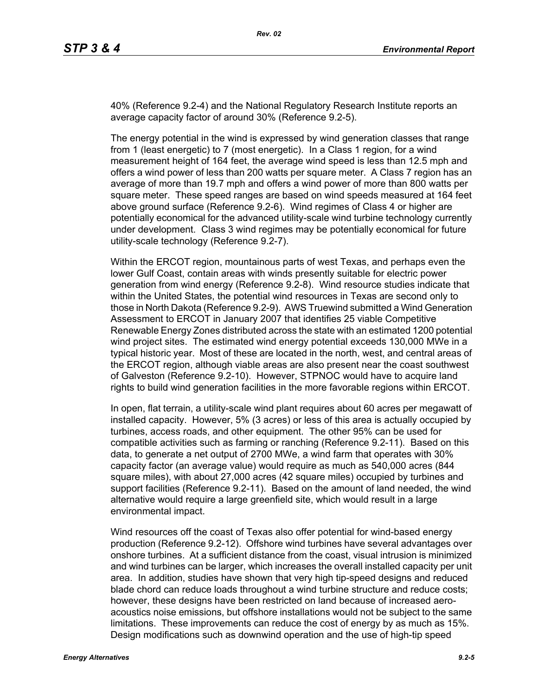40% (Reference 9.2-4) and the National Regulatory Research Institute reports an average capacity factor of around 30% (Reference 9.2-5).

The energy potential in the wind is expressed by wind generation classes that range from 1 (least energetic) to 7 (most energetic). In a Class 1 region, for a wind measurement height of 164 feet, the average wind speed is less than 12.5 mph and offers a wind power of less than 200 watts per square meter. A Class 7 region has an average of more than 19.7 mph and offers a wind power of more than 800 watts per square meter. These speed ranges are based on wind speeds measured at 164 feet above ground surface (Reference 9.2-6). Wind regimes of Class 4 or higher are potentially economical for the advanced utility-scale wind turbine technology currently under development. Class 3 wind regimes may be potentially economical for future utility-scale technology (Reference 9.2-7).

Within the ERCOT region, mountainous parts of west Texas, and perhaps even the lower Gulf Coast, contain areas with winds presently suitable for electric power generation from wind energy (Reference 9.2-8). Wind resource studies indicate that within the United States, the potential wind resources in Texas are second only to those in North Dakota (Reference 9.2-9). AWS Truewind submitted a Wind Generation Assessment to ERCOT in January 2007 that identifies 25 viable Competitive Renewable Energy Zones distributed across the state with an estimated 1200 potential wind project sites. The estimated wind energy potential exceeds 130,000 MWe in a typical historic year. Most of these are located in the north, west, and central areas of the ERCOT region, although viable areas are also present near the coast southwest of Galveston (Reference 9.2-10). However, STPNOC would have to acquire land rights to build wind generation facilities in the more favorable regions within ERCOT.

In open, flat terrain, a utility-scale wind plant requires about 60 acres per megawatt of installed capacity. However, 5% (3 acres) or less of this area is actually occupied by turbines, access roads, and other equipment. The other 95% can be used for compatible activities such as farming or ranching (Reference 9.2-11). Based on this data, to generate a net output of 2700 MWe, a wind farm that operates with 30% capacity factor (an average value) would require as much as 540,000 acres (844 square miles), with about 27,000 acres (42 square miles) occupied by turbines and support facilities (Reference 9.2-11). Based on the amount of land needed, the wind alternative would require a large greenfield site, which would result in a large environmental impact.

Wind resources off the coast of Texas also offer potential for wind-based energy production (Reference 9.2-12). Offshore wind turbines have several advantages over onshore turbines. At a sufficient distance from the coast, visual intrusion is minimized and wind turbines can be larger, which increases the overall installed capacity per unit area. In addition, studies have shown that very high tip-speed designs and reduced blade chord can reduce loads throughout a wind turbine structure and reduce costs; however, these designs have been restricted on land because of increased aeroacoustics noise emissions, but offshore installations would not be subject to the same limitations. These improvements can reduce the cost of energy by as much as 15%. Design modifications such as downwind operation and the use of high-tip speed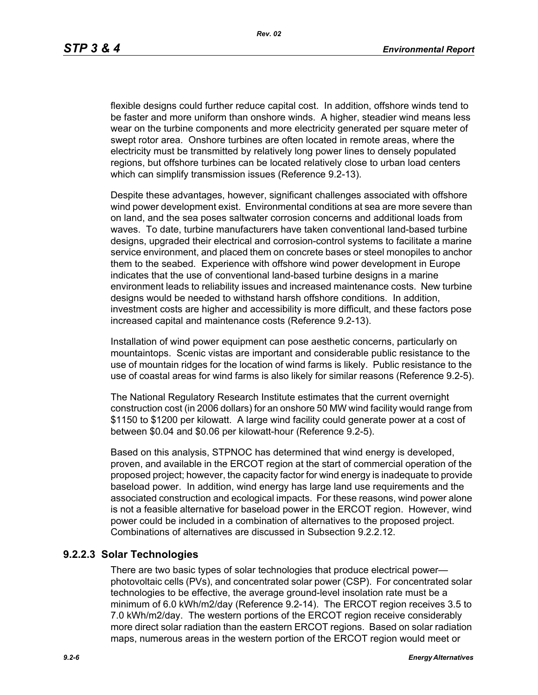flexible designs could further reduce capital cost. In addition, offshore winds tend to be faster and more uniform than onshore winds. A higher, steadier wind means less wear on the turbine components and more electricity generated per square meter of swept rotor area. Onshore turbines are often located in remote areas, where the electricity must be transmitted by relatively long power lines to densely populated regions, but offshore turbines can be located relatively close to urban load centers which can simplify transmission issues (Reference 9.2-13).

[Despite these advantages, however, significant challenges associated with offshore](http://www.nrri.ohio-state.edu/)  [wind power development exist. Environmental conditions at sea are more severe than](http://www.nrri.ohio-state.edu/)  on land, and the sea poses saltwater corrosion concerns and additional loads from waves. To date, turbine manufacturers have taken conventional land-based turbine designs, upgraded their electrical and corrosion-control systems to facilitate a marine service environment, and placed them on concrete bases or steel monopiles to anchor them to the seabed. Experience with offshore wind power development in Europe [indicates that the use of conventional land-based turbine designs in a marine](http://www.nrri.ohio-state.edu/)  [environment leads to reliability issues and increased maintenance costs. New turbine](http://www.nrri.ohio-state.edu/)  designs would be needed to withstand harsh offshore conditions. In addition, investment costs are higher and accessibility is more difficult, and these factors pose increased capital and maintenance costs (Reference 9.2-13).

Installation of wind power equipment can pose aesthetic concerns, particularly on mountaintops. Scenic vistas are important and considerable public resistance to the use of mountain ridges for the location of wind farms is likely. Public resistance to the use of coastal areas for wind farms is also likely for similar reasons (Reference 9.2-5).

The National Regulatory Research Institute estimates that the current overnight construction cost (in 2006 dollars) for an onshore 50 MW wind facility would range from \$1150 to \$1200 per kilowatt. A large wind facility could generate power at a cost of between \$0.04 and \$0.06 per kilowatt-hour (Reference 9.2-5).

Based on this analysis, STPNOC has determined that wind energy is developed, proven, and available in the ERCOT region at the start of commercial operation of the [proposed project; however, the capacity factor for wind energy is inadequate to provide](http://www.infinitepower.org/resgeothermal.htm)  baseload power. In addition, wind energy has large land use requirements and the associated construction and ecological impacts. For these reasons, wind power alone is not a feasible alternative for baseload power in the ERCOT region. However, wind power could be included in a combination of alternatives to the proposed project. Combinations of alternatives are discussed in Subsection 9.2.2.12.

## **9.2.2.3 Solar Technologies**

There are two basic types of solar technologies that produce electrical power photovoltaic cells (PVs), and concentrated solar power (CSP). For concentrated solar technologies to be effective, the average ground-level insolation rate must be a minimum of 6.0 kWh/m2/day (Reference 9.2-14). The ERCOT region receives 3.5 to 7.0 kWh/m2/day. The western portions of the ERCOT region receive considerably more direct solar radiation than the eastern ERCOT regions. Based on solar radiation maps, numerous areas in the western portion of the ERCOT region would meet or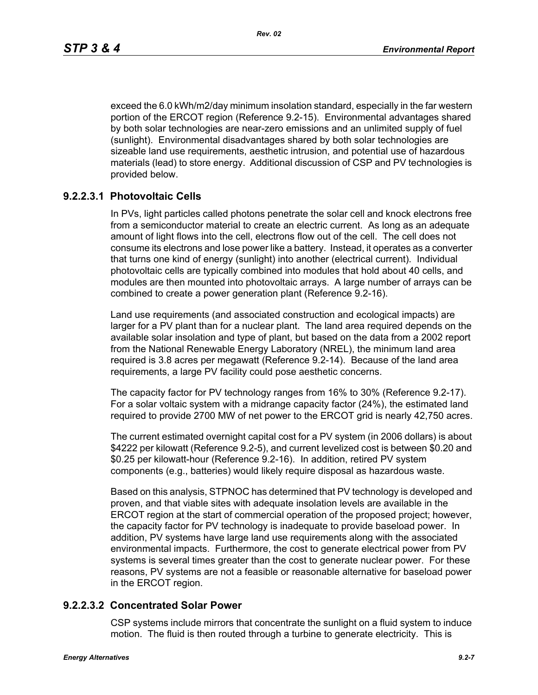exceed the 6.0 kWh/m2/day minimum insolation standard, especially in the far western portion of the ERCOT region (Reference 9.2-15). Environmental advantages shared by both solar technologies are near-zero emissions and an unlimited supply of fuel (sunlight). Environmental disadvantages shared by both solar technologies are sizeable land use requirements, aesthetic intrusion, and potential use of hazardous materials (lead) to store energy. Additional discussion of CSP and PV technologies is provided below.

## **9.2.2.3.1 Photovoltaic Cells**

In PVs, light particles called photons penetrate the solar cell and knock electrons free from a semiconductor material to create an electric current. As long as an adequate amount of light flows into the cell, electrons flow out of the cell. The cell does not consume its electrons and lose power like a battery. Instead, it operates as a converter that turns one kind of energy (sunlight) into another (electrical current). Individual photovoltaic cells are typically combined into modules that hold about 40 cells, and modules are then mounted into photovoltaic arrays. A large number of arrays can be combined to create a power generation plant (Reference 9.2-16).

Land use requirements (and associated construction and ecological impacts) are larger for a PV plant than for a nuclear plant. The land area required depends on the available solar insolation and type of plant, but based on the data from a 2002 report from the National Renewable Energy Laboratory (NREL), the minimum land area required is 3.8 acres per megawatt (Reference 9.2-14). Because of the land area requirements, a large PV facility could pose aesthetic concerns.

The capacity factor for PV technology ranges from 16% to 30% (Reference 9.2-17). For a solar voltaic system with a midrange capacity factor (24%), the estimated land required to provide 2700 MW of net power to the ERCOT grid is nearly 42,750 acres.

The current estimated overnight capital cost for a PV system (in 2006 dollars) is about \$4222 per kilowatt (Reference 9.2-5), and current levelized cost is between \$0.20 and \$0.25 per kilowatt-hour (Reference 9.2-16). In addition, retired PV system components (e.g., batteries) would likely require disposal as hazardous waste.

Based on this analysis, STPNOC has determined that PV technology is developed and proven, and that viable sites with adequate insolation levels are available in the ERCOT region at the start of commercial operation of the proposed project; however, the capacity factor for PV technology is inadequate to provide baseload power. In addition, PV systems have large land use requirements along with the associated environmental impacts. Furthermore, the cost to generate electrical power from PV systems is several times greater than the cost to generate nuclear power. For these reasons, PV systems are not a feasible or reasonable alternative for baseload power in the ERCOT region.

### **9.2.2.3.2 Concentrated Solar Power**

CSP systems include mirrors that concentrate the sunlight on a fluid system to induce motion. The fluid is then routed through a turbine to generate electricity. This is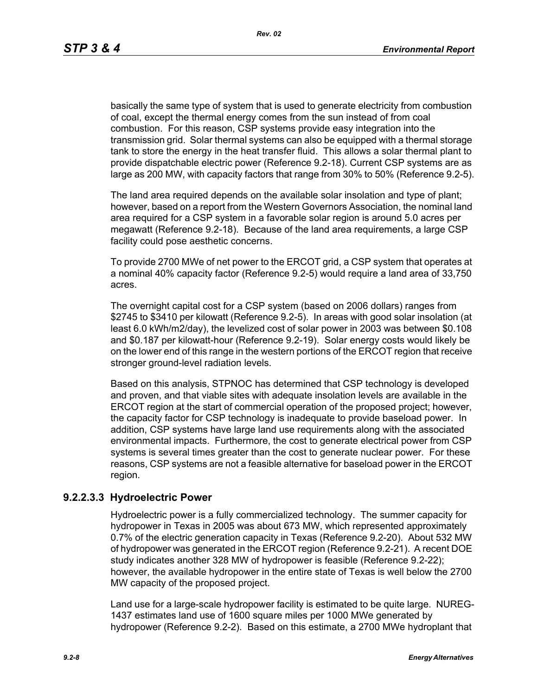basically the same type of system that is used to generate electricity from combustion of coal, except the thermal energy comes from the sun instead of from coal combustion. For this reason, CSP systems provide easy integration into the transmission grid. Solar thermal systems can also be equipped with a thermal storage tank to store the energy in the heat transfer fluid. This allows a solar thermal plant to provide dispatchable electric power (Reference 9.2-18). Current CSP systems are as large as 200 MW, with capacity factors that range from 30% to 50% (Reference 9.2-5).

The land area required depends on the available solar insolation and type of plant; however, based on a report from the Western Governors Association, the nominal land area required for a CSP system in a favorable solar region is around 5.0 acres per megawatt (Reference 9.2-18). Because of the land area requirements, a large CSP facility could pose aesthetic concerns.

To provide 2700 MWe of net power to the ERCOT grid, a CSP system that operates at a nominal 40% capacity factor (Reference 9.2-5) would require a land area of 33,750 acres.

The overnight capital cost for a CSP system (based on 2006 dollars) ranges from \$2745 to \$3410 per kilowatt (Reference 9.2-5). In areas with good solar insolation (at least 6.0 kWh/m2/day), the levelized cost of solar power in 2003 was between \$0.108 and \$0.187 per kilowatt-hour (Reference 9.2-19). Solar energy costs would likely be on the lower end of this range in the western portions of the ERCOT region that receive stronger ground-level radiation levels.

Based on this analysis, STPNOC has determined that CSP technology is developed and proven, and that viable sites with adequate insolation levels are available in the ERCOT region at the start of commercial operation of the proposed project; however, the capacity factor for CSP technology is inadequate to provide baseload power. In addition, CSP systems have large land use requirements along with the associated environmental impacts. Furthermore, the cost to generate electrical power from CSP systems is several times greater than the cost to generate nuclear power. For these reasons, CSP systems are not a feasible alternative for baseload power in the ERCOT region.

### **9.2.2.3.3 Hydroelectric Power**

Hydroelectric power is a fully commercialized technology. The summer capacity for hydropower in Texas in 2005 was about 673 MW, which represented approximately 0.7% of the electric generation capacity in Texas (Reference 9.2-20). About 532 MW of hydropower was generated in the ERCOT region (Reference 9.2-21). A recent DOE study indicates another 328 MW of hydropower is feasible (Reference 9.2-22); however, the available hydropower in the entire state of Texas is well below the 2700 MW capacity of the proposed project.

Land use for a large-scale hydropower facility is estimated to be quite large. NUREG-1437 estimates land use of 1600 square miles per 1000 MWe generated by hydropower (Reference 9.2-2). Based on this estimate, a 2700 MWe hydroplant that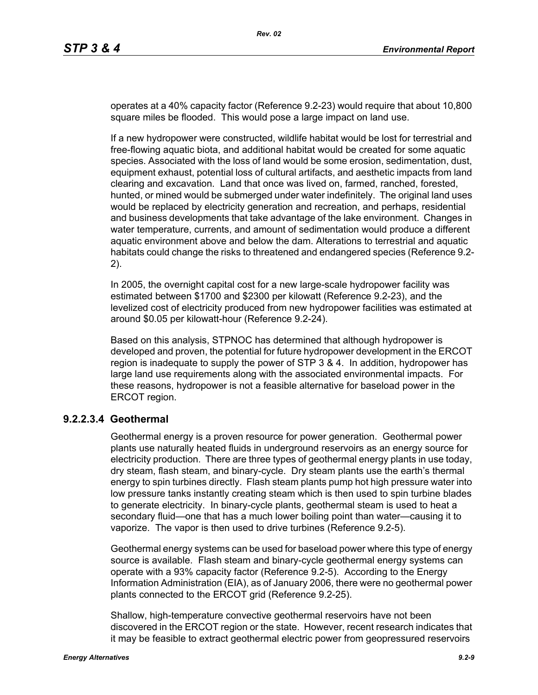operates at a 40% capacity factor (Reference 9.2-23) would require that about 10,800 square miles be flooded. This would pose a large impact on land use.

If a new hydropower were constructed, wildlife habitat would be lost for terrestrial and free-flowing aquatic biota, and additional habitat would be created for some aquatic species. Associated with the loss of land would be some erosion, sedimentation, dust, equipment exhaust, potential loss of cultural artifacts, and aesthetic impacts from land clearing and excavation. Land that once was lived on, farmed, ranched, forested, hunted, or mined would be submerged under water indefinitely. The original land uses would be replaced by electricity generation and recreation, and perhaps, residential and business developments that take advantage of the lake environment. Changes in water temperature, currents, and amount of sedimentation would produce a different aquatic environment above and below the dam. Alterations to terrestrial and aquatic habitats could change the risks to threatened and endangered species (Reference 9.2- 2).

In 2005, the overnight capital cost for a new large-scale hydropower facility was estimated between \$1700 and \$2300 per kilowatt (Reference 9.2-23), and the levelized cost of electricity produced from new hydropower facilities was estimated at around \$0.05 per kilowatt-hour (Reference 9.2-24).

Based on this analysis, STPNOC has determined that although hydropower is developed and proven, the potential for future hydropower development in the ERCOT region is inadequate to supply the power of STP 3 & 4. In addition, hydropower has large land use requirements along with the associated environmental impacts. For these reasons, hydropower is not a feasible alternative for baseload power in the ERCOT region.

### **9.2.2.3.4 Geothermal**

Geothermal energy is a proven resource for power generation. Geothermal power plants use naturally heated fluids in underground reservoirs as an energy source for electricity production. There are three types of geothermal energy plants in use today, dry steam, flash steam, and binary-cycle. Dry steam plants use the earth's thermal energy to spin turbines directly. Flash steam plants pump hot high pressure water into low pressure tanks instantly creating steam which is then used to spin turbine blades to generate electricity. In binary-cycle plants, geothermal steam is used to heat a secondary fluid—one that has a much lower boiling point than water—causing it to vaporize. The vapor is then used to drive turbines (Reference 9.2-5).

Geothermal energy systems can be used for baseload power where this type of energy source is available. Flash steam and binary-cycle geothermal energy systems can operate with a 93% capacity factor (Reference 9.2-5). According to the Energy Information Administration (EIA), as of January 2006, there were no geothermal power plants connected to the ERCOT grid (Reference 9.2-25).

Shallow, high-temperature convective geothermal reservoirs have not been discovered in the ERCOT region or the state. However, recent research indicates that it may be feasible to extract geothermal electric power from geopressured reservoirs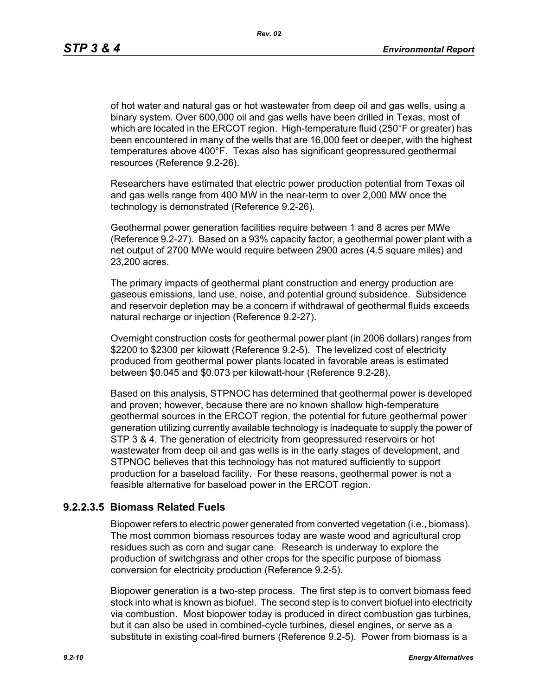of hot water and natural gas or hot wastewater from deep oil and gas wells, using a binary system. Over 600,000 oil and gas wells have been drilled in Texas, most of which are located in the ERCOT region. High-temperature fluid (250°F or greater) has been encountered in many of the wells that are 16,000 feet or deeper, with the highest temperatures above 400°F. Texas also has significant geopressured geothermal resources (Reference 9.2-26).

Researchers have estimated that electric power production potential from Texas oil and gas wells range from 400 MW in the near-term to over 2,000 MW once the technology is demonstrated (Reference 9.2-26).

Geothermal power generation facilities require between 1 and 8 acres per MWe (Reference 9.2-27). Based on a 93% capacity factor, a geothermal power plant with a net output of 2700 MWe would require between 2900 acres (4.5 square miles) and 23,200 acres.

The primary impacts of geothermal plant construction and energy production are gaseous emissions, land use, noise, and potential ground subsidence. Subsidence and reservoir depletion may be a concern if withdrawal of geothermal fluids exceeds natural recharge or injection (Reference 9.2-27).

Overnight construction costs for geothermal power plant (in 2006 dollars) ranges from \$2200 to \$2300 per kilowatt (Reference 9.2-5). The levelized cost of electricity produced from geothermal power plants located in favorable areas is estimated between \$0.045 and \$0.073 per kilowatt-hour (Reference 9.2-28).

Based on this analysis, STPNOC has determined that geothermal power is developed and proven; however, because there are no known shallow high-temperature geothermal sources in the ERCOT region, the potential for future geothermal power generation utilizing currently available technology is inadequate to supply the power of STP 3 & 4. The generation of electricity from geopressured reservoirs or hot wastewater from deep oil and gas wells is in the early stages of development, and STPNOC believes that this technology has not matured sufficiently to support production for a baseload facility. For these reasons, geothermal power is not a feasible alternative for baseload power in the ERCOT region.

## **9.2.2.3.5 Biomass Related Fuels**

Biopower refers to electric power generated from converted vegetation (i.e., biomass). The most common biomass resources today are waste wood and agricultural crop residues such as corn and sugar cane. Research is underway to explore the production of switchgrass and other crops for the specific purpose of biomass conversion for electricity production (Reference 9.2-5).

Biopower generation is a two-step process. The first step is to convert biomass feed stock into what is known as biofuel. The second step is to convert biofuel into electricity via combustion. Most biopower today is produced in direct combustion gas turbines, but it can also be used in combined-cycle turbines, diesel engines, or serve as a substitute in existing coal-fired burners (Reference 9.2-5). Power from biomass is a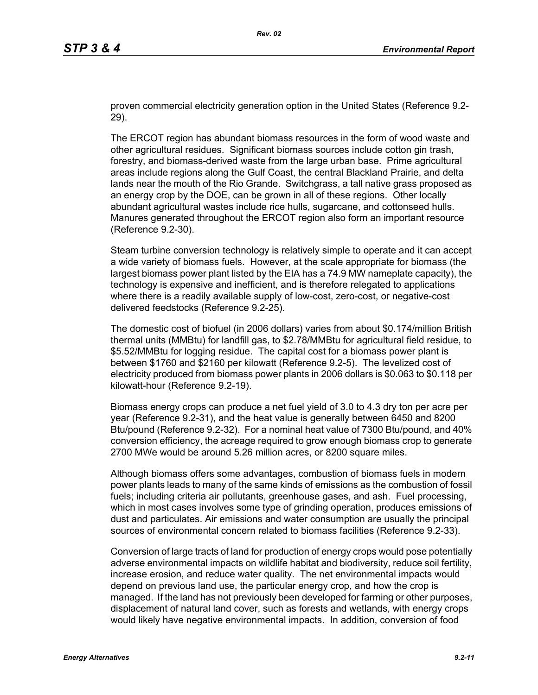proven commercial electricity generation option in the United States (Reference 9.2- 29).

The ERCOT region has abundant biomass resources in the form of wood waste and other agricultural residues. Significant biomass sources include cotton gin trash, forestry, and biomass-derived waste from the large urban base. Prime agricultural areas include regions along the Gulf Coast, the central Blackland Prairie, and delta lands near the mouth of the Rio Grande. Switchgrass, a tall native grass proposed as an energy crop by the DOE, can be grown in all of these regions. Other locally abundant agricultural wastes include rice hulls, sugarcane, and cottonseed hulls. Manures generated throughout the ERCOT region also form an important resource (Reference 9.2-30).

Steam turbine conversion technology is relatively simple to operate and it can accept a wide variety of biomass fuels. However, at the scale appropriate for biomass (the largest biomass power plant listed by the EIA has a 74.9 MW nameplate capacity), the technology is expensive and inefficient, and is therefore relegated to applications where there is a readily available supply of low-cost, zero-cost, or negative-cost delivered feedstocks (Reference 9.2-25).

The domestic cost of biofuel (in 2006 dollars) varies from about \$0.174/million British thermal units (MMBtu) for landfill gas, to \$2.78/MMBtu for agricultural field residue, to \$5.52/MMBtu for logging residue. The capital cost for a biomass power plant is between \$1760 and \$2160 per kilowatt (Reference 9.2-5). The levelized cost of electricity produced from biomass power plants in 2006 dollars is \$0.063 to \$0.118 per kilowatt-hour (Reference 9.2-19).

Biomass energy crops can produce a net fuel yield of 3.0 to 4.3 dry ton per acre per year (Reference 9.2-31), and the heat value is generally between 6450 and 8200 Btu/pound (Reference 9.2-32). For a nominal heat value of 7300 Btu/pound, and 40% conversion efficiency, the acreage required to grow enough biomass crop to generate 2700 MWe would be around 5.26 million acres, or 8200 square miles.

Although biomass offers some advantages, combustion of biomass fuels in modern power plants leads to many of the same kinds of emissions as the combustion of fossil fuels; including criteria air pollutants, greenhouse gases, and ash. Fuel processing, which in most cases involves some type of grinding operation, produces emissions of dust and particulates. Air emissions and water consumption are usually the principal sources of environmental concern related to biomass facilities (Reference 9.2-33).

Conversion of large tracts of land for production of energy crops would pose potentially adverse environmental impacts on wildlife habitat and biodiversity, reduce soil fertility, increase erosion, and reduce water quality. The net environmental impacts would depend on previous land use, the particular energy crop, and how the crop is managed. If the land has not previously been developed for farming or other purposes, displacement of natural land cover, such as forests and wetlands, with energy crops would likely have negative environmental impacts. In addition, conversion of food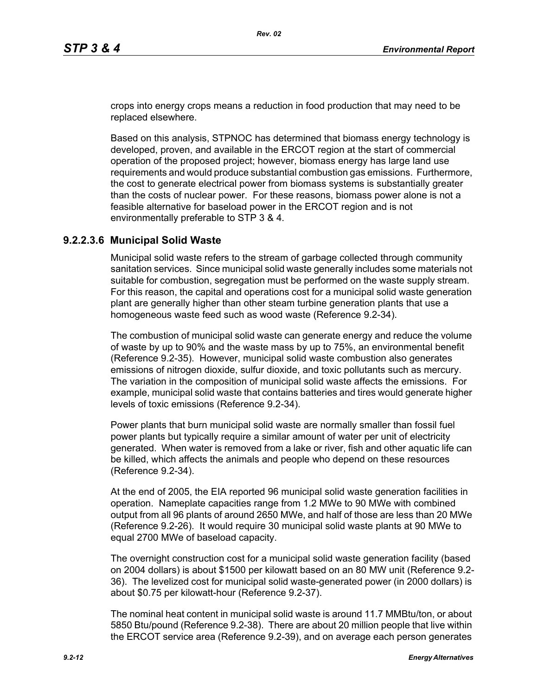crops into energy crops means a reduction in food production that may need to be replaced elsewhere.

Based on this analysis, STPNOC has determined that biomass energy technology is developed, proven, and available in the ERCOT region at the start of commercial operation of the proposed project; however, biomass energy has large land use requirements and would produce substantial combustion gas emissions. Furthermore, the cost to generate electrical power from biomass systems is substantially greater than the costs of nuclear power. For these reasons, biomass power alone is not a feasible alternative for baseload power in the ERCOT region and is not environmentally preferable to STP 3 & 4.

### **9.2.2.3.6 Municipal Solid Waste**

Municipal solid waste refers to the stream of garbage collected through community sanitation services. Since municipal solid waste generally includes some materials not suitable for combustion, segregation must be performed on the waste supply stream. For this reason, the capital and operations cost for a municipal solid waste generation plant are generally higher than other steam turbine generation plants that use a homogeneous waste feed such as wood waste (Reference 9.2-34).

The combustion of municipal solid waste can generate energy and reduce the volume of waste by up to 90% and the waste mass by up to 75%, an environmental benefit (Reference 9.2-35). However, municipal solid waste combustion also generates emissions of nitrogen dioxide, sulfur dioxide, and toxic pollutants such as mercury. The variation in the composition of municipal solid waste affects the emissions. For example, municipal solid waste that contains batteries and tires would generate higher levels of toxic emissions (Reference 9.2-34).

Power plants that burn municipal solid waste are normally smaller than fossil fuel power plants but typically require a similar amount of water per unit of electricity generated. When water is removed from a lake or river, fish and other aquatic life can be killed, which affects the animals and people who depend on these resources (Reference 9.2-34).

At the end of 2005, the EIA reported 96 municipal solid waste generation facilities in operation. Nameplate capacities range from 1.2 MWe to 90 MWe with combined output from all 96 plants of around 2650 MWe, and half of those are less than 20 MWe (Reference 9.2-26). It would require 30 municipal solid waste plants at 90 MWe to equal 2700 MWe of baseload capacity.

The overnight construction cost for a municipal solid waste generation facility (based on 2004 dollars) is about \$1500 per kilowatt based on an 80 MW unit (Reference 9.2- 36). The levelized cost for municipal solid waste-generated power (in 2000 dollars) is about \$0.75 per kilowatt-hour (Reference 9.2-37).

The nominal heat content in municipal solid waste is around 11.7 MMBtu/ton, or about 5850 Btu/pound (Reference 9.2-38). There are about 20 million people that live within the ERCOT service area (Reference 9.2-39), and on average each person generates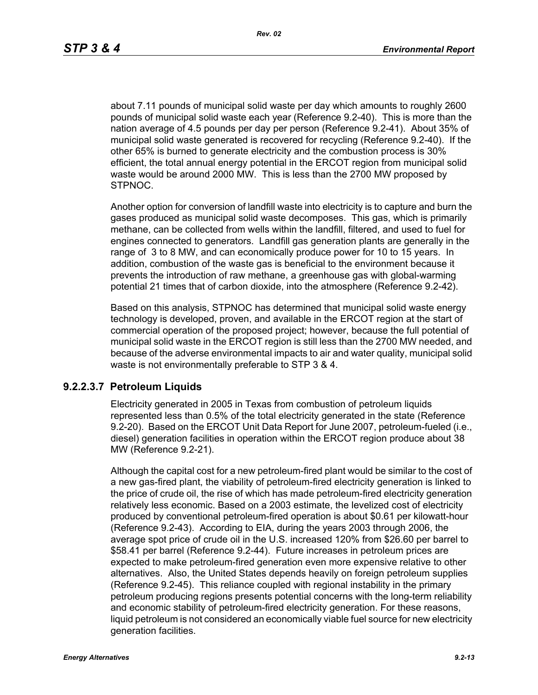about 7.11 pounds of municipal solid waste per day which amounts to roughly 2600 pounds of municipal solid waste each year (Reference 9.2-40). This is more than the nation average of 4.5 pounds per day per person (Reference 9.2-41). About 35% of municipal solid waste generated is recovered for recycling (Reference 9.2-40). If the other 65% is burned to generate electricity and the combustion process is 30% efficient, the total annual energy potential in the ERCOT region from municipal solid waste would be around 2000 MW. This is less than the 2700 MW proposed by STPNOC.

Another option for conversion of landfill waste into electricity is to capture and burn the gases produced as municipal solid waste decomposes. This gas, which is primarily methane, can be collected from wells within the landfill, filtered, and used to fuel for engines connected to generators. Landfill gas generation plants are generally in the range of 3 to 8 MW, and can economically produce power for 10 to 15 years. In addition, combustion of the waste gas is beneficial to the environment because it prevents the introduction of raw methane, a greenhouse gas with global-warming potential 21 times that of carbon dioxide, into the atmosphere (Reference 9.2-42).

Based on this analysis, STPNOC has determined that municipal solid waste energy technology is developed, proven, and available in the ERCOT region at the start of commercial operation of the proposed project; however, because the full potential of municipal solid waste in the ERCOT region is still less than the 2700 MW needed, and because of the adverse environmental impacts to air and water quality, municipal solid waste is not environmentally preferable to STP 3 & 4.

#### **9.2.2.3.7 Petroleum Liquids**

Electricity generated in 2005 in Texas from combustion of petroleum liquids represented less than 0.5% of the total electricity generated in the state (Reference 9.2-20). Based on the ERCOT Unit Data Report for June 2007, petroleum-fueled (i.e., diesel) generation facilities in operation within the ERCOT region produce about 38 MW (Reference 9.2-21).

Although the capital cost for a new petroleum-fired plant would be similar to the cost of a new gas-fired plant, the viability of petroleum-fired electricity generation is linked to the price of crude oil, the rise of which has made petroleum-fired electricity generation relatively less economic. Based on a 2003 estimate, the levelized cost of electricity produced by conventional petroleum-fired operation is about \$0.61 per kilowatt-hour (Reference 9.2-43). According to EIA, during the years 2003 through 2006, the average spot price of crude oil in the U.S. increased 120% from \$26.60 per barrel to \$58.41 per barrel (Reference 9.2-44). Future increases in petroleum prices are expected to make petroleum-fired generation even more expensive relative to other alternatives. Also, the United States depends heavily on foreign petroleum supplies (Reference 9.2-45). This reliance coupled with regional instability in the primary petroleum producing regions presents potential concerns with the long-term reliability and economic stability of petroleum-fired electricity generation. For these reasons, liquid petroleum is not considered an economically viable fuel source for new electricity generation facilities.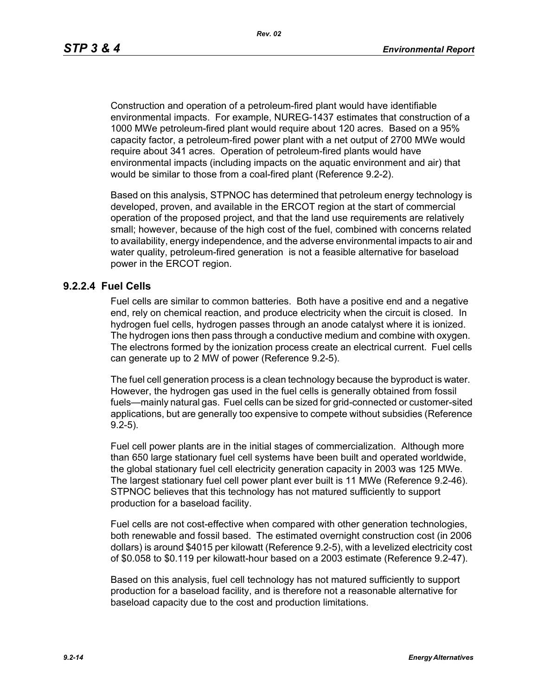Construction and operation of a petroleum-fired plant would have identifiable environmental impacts. For example, NUREG-1437 estimates that construction of a 1000 MWe petroleum-fired plant would require about 120 acres. Based on a 95% capacity factor, a petroleum-fired power plant with a net output of 2700 MWe would require about 341 acres. Operation of petroleum-fired plants would have environmental impacts (including impacts on the aquatic environment and air) that would be similar to those from a coal-fired plant (Reference 9.2-2).

Based on this analysis, STPNOC has determined that petroleum energy technology is developed, proven, and available in the ERCOT region at the start of commercial operation of the proposed project, and that the land use requirements are relatively small; however, because of the high cost of the fuel, combined with concerns related to availability, energy independence, and the adverse environmental impacts to air and water quality, petroleum-fired generation is not a feasible alternative for baseload power in the ERCOT region.

#### **9.2.2.4 Fuel Cells**

Fuel cells are similar to common batteries. Both have a positive end and a negative end, rely on chemical reaction, and produce electricity when the circuit is closed. In hydrogen fuel cells, hydrogen passes through an anode catalyst where it is ionized. The hydrogen ions then pass through a conductive medium and combine with oxygen. The electrons formed by the ionization process create an electrical current. Fuel cells can generate up to 2 MW of power (Reference 9.2-5).

The fuel cell generation process is a clean technology because the byproduct is water. However, the hydrogen gas used in the fuel cells is generally obtained from fossil fuels—mainly natural gas. Fuel cells can be sized for grid-connected or customer-sited applications, but are generally too expensive to compete without subsidies (Reference 9.2-5).

Fuel cell power plants are in the initial stages of commercialization. Although more than 650 large stationary fuel cell systems have been built and operated worldwide, the global stationary fuel cell electricity generation capacity in 2003 was 125 MWe. The largest stationary fuel cell power plant ever built is 11 MWe (Reference 9.2-46). STPNOC believes that this technology has not matured sufficiently to support production for a baseload facility.

Fuel cells are not cost-effective when compared with other generation technologies, both renewable and fossil based. The estimated overnight construction cost (in 2006 dollars) is around \$4015 per kilowatt (Reference 9.2-5), with a levelized electricity cost of \$0.058 to \$0.119 per kilowatt-hour based on a 2003 estimate (Reference 9.2-47).

Based on this analysis, fuel cell technology has not matured sufficiently to support production for a baseload facility, and is therefore not a reasonable alternative for baseload capacity due to the cost and production limitations.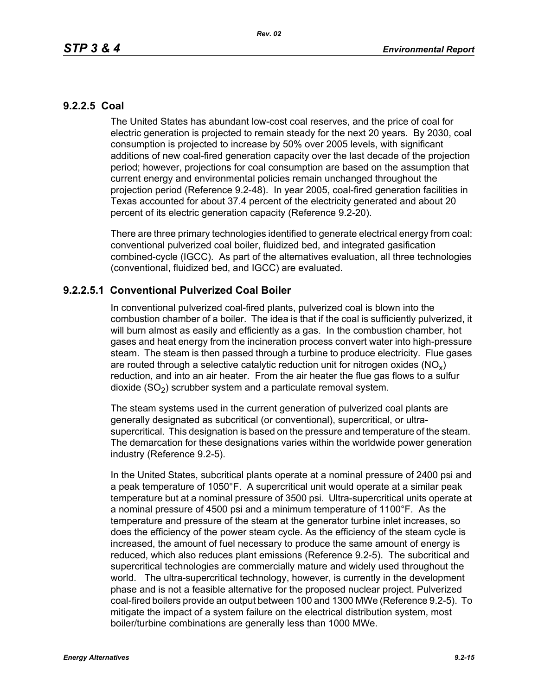### **9.2.2.5 Coal**

The United States has abundant low-cost coal reserves, and the price of coal for electric generation is projected to remain steady for the next 20 years. By 2030, coal consumption is projected to increase by 50% over 2005 levels, with significant additions of new coal-fired generation capacity over the last decade of the projection period; however, projections for coal consumption are based on the assumption that current energy and environmental policies remain unchanged throughout the projection period (Reference 9.2-48). In year 2005, coal-fired generation facilities in Texas accounted for about 37.4 percent of the electricity generated and about 20 percent of its electric generation capacity (Reference 9.2-20).

There are three primary technologies identified to generate electrical energy from coal: conventional pulverized coal boiler, fluidized bed, and integrated gasification combined-cycle (IGCC). As part of the alternatives evaluation, all three technologies (conventional, fluidized bed, and IGCC) are evaluated.

## **9.2.2.5.1 Conventional Pulverized Coal Boiler**

In conventional pulverized coal-fired plants, pulverized coal is blown into the combustion chamber of a boiler. The idea is that if the coal is sufficiently pulverized, it will burn almost as easily and efficiently as a gas. In the combustion chamber, hot gases and heat energy from the incineration process convert water into high-pressure steam. The steam is then passed through a turbine to produce electricity. Flue gases are routed through a selective catalytic reduction unit for nitrogen oxides ( $NO<sub>v</sub>$ ) reduction, and into an air heater. From the air heater the flue gas flows to a sulfur dioxide  $(SO<sub>2</sub>)$  scrubber system and a particulate removal system.

The steam systems used in the current generation of pulverized coal plants are generally designated as subcritical (or conventional), supercritical, or ultrasupercritical. This designation is based on the pressure and temperature of the steam. The demarcation for these designations varies within the worldwide power generation industry (Reference 9.2-5).

In the United States, subcritical plants operate at a nominal pressure of 2400 psi and a peak temperature of 1050°F. A supercritical unit would operate at a similar peak temperature but at a nominal pressure of 3500 psi. Ultra-supercritical units operate at a nominal pressure of 4500 psi and a minimum temperature of 1100°F. As the temperature and pressure of the steam at the generator turbine inlet increases, so does the efficiency of the power steam cycle. As the efficiency of the steam cycle is increased, the amount of fuel necessary to produce the same amount of energy is reduced, which also reduces plant emissions (Reference 9.2-5). The subcritical and supercritical technologies are commercially mature and widely used throughout the world. The ultra-supercritical technology, however, is currently in the development phase and is not a feasible alternative for the proposed nuclear project. Pulverized coal-fired boilers provide an output between 100 and 1300 MWe (Reference 9.2-5). To mitigate the impact of a system failure on the electrical distribution system, most boiler/turbine combinations are generally less than 1000 MWe.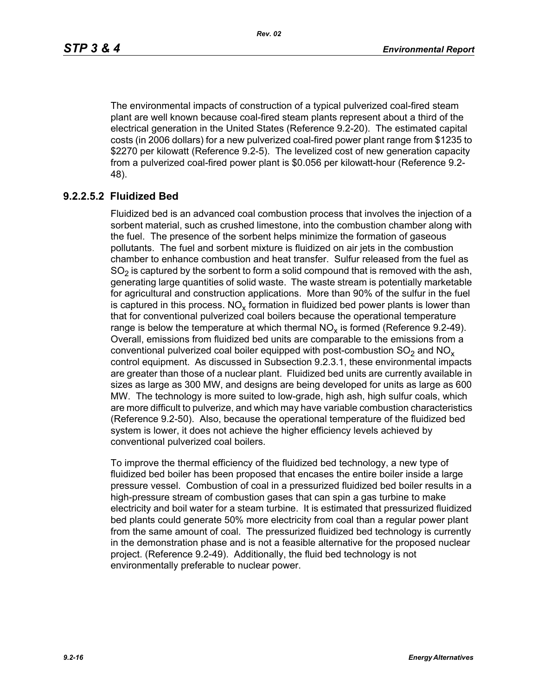The environmental impacts of construction of a typical pulverized coal-fired steam plant are well known because coal-fired steam plants represent about a third of the electrical generation in the United States (Reference 9.2-20). The estimated capital costs (in 2006 dollars) for a new pulverized coal-fired power plant range from \$1235 to \$2270 per kilowatt (Reference 9.2-5). The levelized cost of new generation capacity from a pulverized coal-fired power plant is \$0.056 per kilowatt-hour (Reference 9.2- 48).

# **9.2.2.5.2 Fluidized Bed**

Fluidized bed is an advanced coal combustion process that involves the injection of a sorbent material, such as crushed limestone, into the combustion chamber along with the fuel. The presence of the sorbent helps minimize the formation of gaseous pollutants. The fuel and sorbent mixture is fluidized on air jets in the combustion chamber to enhance combustion and heat transfer. Sulfur released from the fuel as  $SO<sub>2</sub>$  is captured by the sorbent to form a solid compound that is removed with the ash, generating large quantities of solid waste. The waste stream is potentially marketable for agricultural and construction applications. More than 90% of the sulfur in the fuel is captured in this process.  $NO_{v}$  formation in fluidized bed power plants is lower than that for conventional pulverized coal boilers because the operational temperature range is below the temperature at which thermal  $NO<sub>x</sub>$  is formed (Reference 9.2-49). Overall, emissions from fluidized bed units are comparable to the emissions from a conventional pulverized coal boiler equipped with post-combustion  $SO<sub>2</sub>$  and  $NO<sub>x</sub>$ control equipment. As discussed in Subsection 9.2.3.1, these environmental impacts are greater than those of a nuclear plant. Fluidized bed units are currently available in sizes as large as 300 MW, and designs are being developed for units as large as 600 MW. The technology is more suited to low-grade, high ash, high sulfur coals, which are more difficult to pulverize, and which may have variable combustion characteristics (Reference 9.2-50). Also, because the operational temperature of the fluidized bed system is lower, it does not achieve the higher efficiency levels achieved by conventional pulverized coal boilers.

To improve the thermal efficiency of the fluidized bed technology, a new type of fluidized bed boiler has been proposed that encases the entire boiler inside a large pressure vessel. Combustion of coal in a pressurized fluidized bed boiler results in a high-pressure stream of combustion gases that can spin a gas turbine to make electricity and boil water for a steam turbine. It is estimated that pressurized fluidized bed plants could generate 50% more electricity from coal than a regular power plant from the same amount of coal. The pressurized fluidized bed technology is currently in the demonstration phase and is not a feasible alternative for the proposed nuclear project. (Reference 9.2-49). Additionally, the fluid bed technology is not environmentally preferable to nuclear power.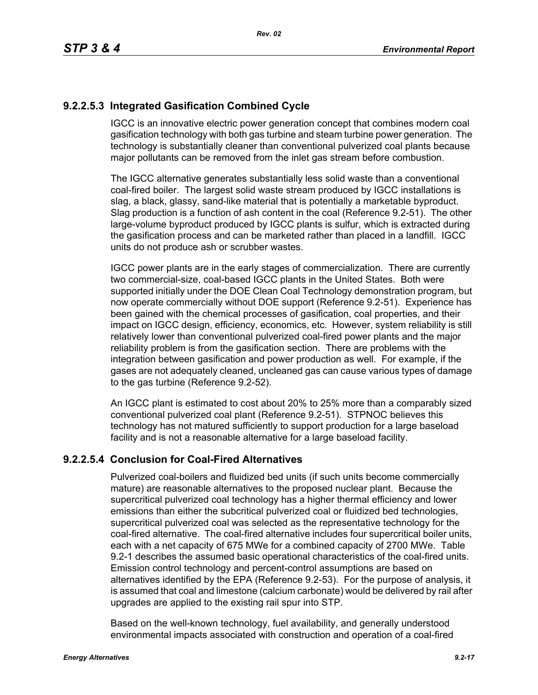# **9.2.2.5.3 Integrated Gasification Combined Cycle**

IGCC is an innovative electric power generation concept that combines modern coal gasification technology with both gas turbine and steam turbine power generation. The technology is substantially cleaner than conventional pulverized coal plants because major pollutants can be removed from the inlet gas stream before combustion.

The IGCC alternative generates substantially less solid waste than a conventional coal-fired boiler. The largest solid waste stream produced by IGCC installations is slag, a black, glassy, sand-like material that is potentially a marketable byproduct. Slag production is a function of ash content in the coal (Reference 9.2-51). The other large-volume byproduct produced by IGCC plants is sulfur, which is extracted during the gasification process and can be marketed rather than placed in a landfill. IGCC units do not produce ash or scrubber wastes.

IGCC power plants are in the early stages of commercialization. There are currently two commercial-size, coal-based IGCC plants in the United States. Both were supported initially under the DOE Clean Coal Technology demonstration program, but now operate commercially without DOE support (Reference 9.2-51). Experience has been gained with the chemical processes of gasification, coal properties, and their impact on IGCC design, efficiency, economics, etc. However, system reliability is still relatively lower than conventional pulverized coal-fired power plants and the major reliability problem is from the gasification section. There are problems with the integration between gasification and power production as well. For example, if the gases are not adequately cleaned, uncleaned gas can cause various types of damage to the gas turbine (Reference 9.2-52).

An IGCC plant is estimated to cost about 20% to 25% more than a comparably sized conventional pulverized coal plant (Reference 9.2-51). STPNOC believes this technology has not matured sufficiently to support production for a large baseload facility and is not a reasonable alternative for a large baseload facility.

## **9.2.2.5.4 Conclusion for Coal-Fired Alternatives**

Pulverized coal-boilers and fluidized bed units (if such units become commercially mature) are reasonable alternatives to the proposed nuclear plant. Because the supercritical pulverized coal technology has a higher thermal efficiency and lower emissions than either the subcritical pulverized coal or fluidized bed technologies, supercritical pulverized coal was selected as the representative technology for the coal-fired alternative. The coal-fired alternative includes four supercritical boiler units, each with a net capacity of 675 MWe for a combined capacity of 2700 MWe. Table 9.2-1 describes the assumed basic operational characteristics of the coal-fired units. Emission control technology and percent-control assumptions are based on alternatives identified by the EPA (Reference 9.2-53). For the purpose of analysis, it is assumed that coal and limestone (calcium carbonate) would be delivered by rail after upgrades are applied to the existing rail spur into STP.

Based on the well-known technology, fuel availability, and generally understood environmental impacts associated with construction and operation of a coal-fired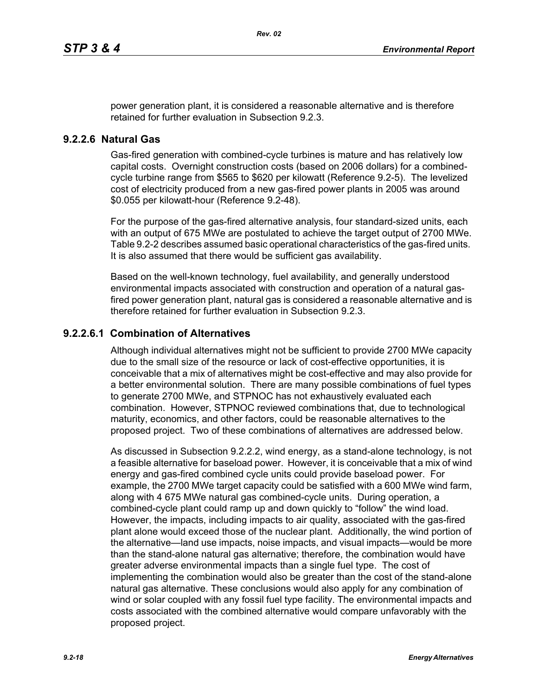power generation plant, it is considered a reasonable alternative and is therefore retained for further evaluation in Subsection 9.2.3.

### **9.2.2.6 Natural Gas**

Gas-fired generation with combined-cycle turbines is mature and has relatively low capital costs. Overnight construction costs (based on 2006 dollars) for a combinedcycle turbine range from \$565 to \$620 per kilowatt (Reference 9.2-5). The levelized cost of electricity produced from a new gas-fired power plants in 2005 was around \$0.055 per kilowatt-hour (Reference 9.2-48).

For the purpose of the gas-fired alternative analysis, four standard-sized units, each with an output of 675 MWe are postulated to achieve the target output of 2700 MWe. Table 9.2-2 describes assumed basic operational characteristics of the gas-fired units. It is also assumed that there would be sufficient gas availability.

Based on the well-known technology, fuel availability, and generally understood environmental impacts associated with construction and operation of a natural gasfired power generation plant, natural gas is considered a reasonable alternative and is therefore retained for further evaluation in Subsection 9.2.3.

### **9.2.2.6.1 Combination of Alternatives**

Although individual alternatives might not be sufficient to provide 2700 MWe capacity due to the small size of the resource or lack of cost-effective opportunities, it is conceivable that a mix of alternatives might be cost-effective and may also provide for a better environmental solution. There are many possible combinations of fuel types to generate 2700 MWe, and STPNOC has not exhaustively evaluated each combination. However, STPNOC reviewed combinations that, due to technological maturity, economics, and other factors, could be reasonable alternatives to the proposed project. Two of these combinations of alternatives are addressed below.

As discussed in Subsection 9.2.2.2, wind energy, as a stand-alone technology, is not a feasible alternative for baseload power. However, it is conceivable that a mix of wind energy and gas-fired combined cycle units could provide baseload power. For example, the 2700 MWe target capacity could be satisfied with a 600 MWe wind farm, along with 4 675 MWe natural gas combined-cycle units. During operation, a combined-cycle plant could ramp up and down quickly to "follow" the wind load. However, the impacts, including impacts to air quality, associated with the gas-fired plant alone would exceed those of the nuclear plant. Additionally, the wind portion of the alternative—land use impacts, noise impacts, and visual impacts—would be more than the stand-alone natural gas alternative; therefore, the combination would have greater adverse environmental impacts than a single fuel type. The cost of implementing the combination would also be greater than the cost of the stand-alone natural gas alternative. These conclusions would also apply for any combination of wind or solar coupled with any fossil fuel type facility. The environmental impacts and costs associated with the combined alternative would compare unfavorably with the proposed project.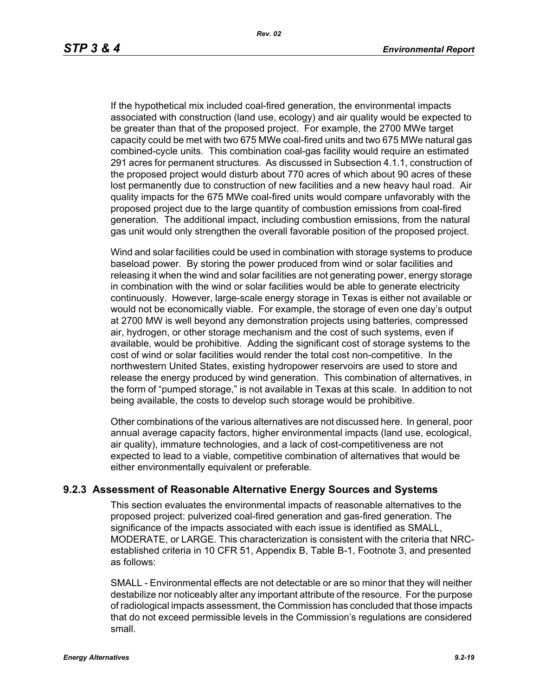If the hypothetical mix included coal-fired generation, the environmental impacts associated with construction (land use, ecology) and air quality would be expected to be greater than that of the proposed project. For example, the 2700 MWe target capacity could be met with two 675 MWe coal-fired units and two 675 MWe natural gas combined-cycle units. This combination coal-gas facility would require an estimated 291 acres for permanent structures. As discussed in Subsection 4.1.1, construction of the proposed project would disturb about 770 acres of which about 90 acres of these lost permanently due to construction of new facilities and a new heavy haul road. Air quality impacts for the 675 MWe coal-fired units would compare unfavorably with the proposed project due to the large quantity of combustion emissions from coal-fired generation. The additional impact, including combustion emissions, from the natural gas unit would only strengthen the overall favorable position of the proposed project.

Wind and solar facilities could be used in combination with storage systems to produce baseload power. By storing the power produced from wind or solar facilities and releasing it when the wind and solar facilities are not generating power, energy storage in combination with the wind or solar facilities would be able to generate electricity continuously. However, large-scale energy storage in Texas is either not available or would not be economically viable. For example, the storage of even one day's output at 2700 MW is well beyond any demonstration projects using batteries, compressed air, hydrogen, or other storage mechanism and the cost of such systems, even if available, would be prohibitive. Adding the significant cost of storage systems to the cost of wind or solar facilities would render the total cost non-competitive. In the northwestern United States, existing hydropower reservoirs are used to store and release the energy produced by wind generation. This combination of alternatives, in the form of "pumped storage," is not available in Texas at this scale. In addition to not being available, the costs to develop such storage would be prohibitive.

Other combinations of the various alternatives are not discussed here. In general, poor annual average capacity factors, higher environmental impacts (land use, ecological, air quality), immature technologies, and a lack of cost-competitiveness are not expected to lead to a viable, competitive combination of alternatives that would be either environmentally equivalent or preferable.

### **9.2.3 Assessment of Reasonable Alternative Energy Sources and Systems**

This section evaluates the environmental impacts of reasonable alternatives to the proposed project: pulverized coal-fired generation and gas-fired generation. The significance of the impacts associated with each issue is identified as SMALL, MODERATE, or LARGE. This characterization is consistent with the criteria that NRCestablished criteria in 10 CFR 51, Appendix B, Table B-1, Footnote 3, and presented as follows:

SMALL - Environmental effects are not detectable or are so minor that they will neither destabilize nor noticeably alter any important attribute of the resource. For the purpose of radiological impacts assessment, the Commission has concluded that those impacts that do not exceed permissible levels in the Commission's regulations are considered small.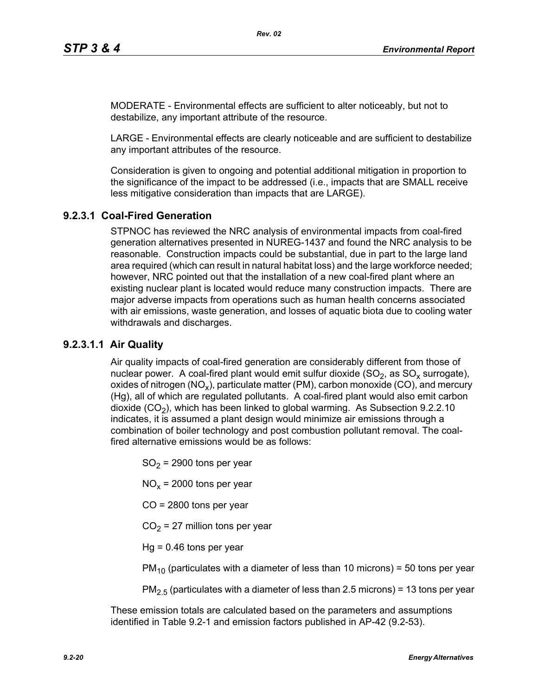MODERATE - Environmental effects are sufficient to alter noticeably, but not to destabilize, any important attribute of the resource.

LARGE - Environmental effects are clearly noticeable and are sufficient to destabilize any important attributes of the resource.

Consideration is given to ongoing and potential additional mitigation in proportion to the significance of the impact to be addressed (i.e., impacts that are SMALL receive less mitigative consideration than impacts that are LARGE).

# **9.2.3.1 Coal-Fired Generation**

STPNOC has reviewed the NRC analysis of environmental impacts from coal-fired generation alternatives presented in NUREG-1437 and found the NRC analysis to be reasonable. Construction impacts could be substantial, due in part to the large land area required (which can result in natural habitat loss) and the large workforce needed; however, NRC pointed out that the installation of a new coal-fired plant where an existing nuclear plant is located would reduce many construction impacts. There are major adverse impacts from operations such as human health concerns associated with air emissions, waste generation, and losses of aquatic biota due to cooling water withdrawals and discharges.

## **9.2.3.1.1 Air Quality**

Air quality impacts of coal-fired generation are considerably different from those of nuclear power. A coal-fired plant would emit sulfur dioxide  $(SO<sub>2</sub>)$ , as  $SO<sub>x</sub>$  surrogate), oxides of nitrogen (NO<sub>x</sub>), particulate matter (PM), carbon monoxide (CO), and mercury (Hg), all of which are regulated pollutants. A coal-fired plant would also emit carbon dioxide  $(CO<sub>2</sub>)$ , which has been linked to global warming. As Subsection 9.2.2.10 indicates, it is assumed a plant design would minimize air emissions through a combination of boiler technology and post combustion pollutant removal. The coalfired alternative emissions would be as follows:

 $SO<sub>2</sub>$  = 2900 tons per year

 $NO<sub>x</sub>$  = 2000 tons per year

CO = 2800 tons per year

 $CO<sub>2</sub> = 27$  million tons per year

 $Hq = 0.46$  tons per year

 $PM_{10}$  (particulates with a diameter of less than 10 microns) = 50 tons per year

 $PM<sub>2.5</sub>$  (particulates with a diameter of less than 2.5 microns) = 13 tons per year

These emission totals are calculated based on the parameters and assumptions identified in Table 9.2-1 and emission factors published in AP-42 (9.2-53).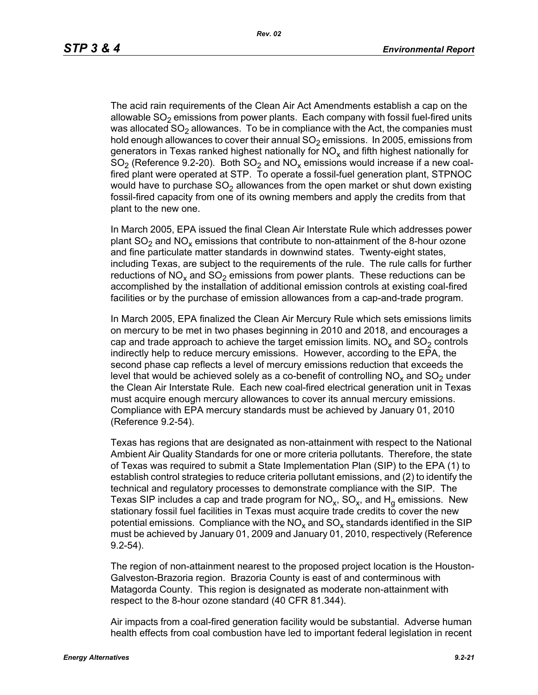The acid rain requirements of the Clean Air Act Amendments establish a cap on the allowable  $SO<sub>2</sub>$  emissions from power plants. Each company with fossil fuel-fired units was allocated  $SO<sub>2</sub>$  allowances. To be in compliance with the Act, the companies must hold enough allowances to cover their annual  $SO<sub>2</sub>$  emissions. In 2005, emissions from generators in Texas ranked highest nationally for  $NO<sub>x</sub>$  and fifth highest nationally for  $SO<sub>2</sub>$  (Reference 9.2-20). Both  $SO<sub>2</sub>$  and  $NO<sub>x</sub>$  emissions would increase if a new coalfired plant were operated at STP. To operate a fossil-fuel generation plant, STPNOC would have to purchase  $SO<sub>2</sub>$  allowances from the open market or shut down existing fossil-fired capacity from one of its owning members and apply the credits from that plant to the new one.

In March 2005, EPA issued the final Clean Air Interstate Rule which addresses power plant  $SO_2$  and  $NO_x$  emissions that contribute to non-attainment of the 8-hour ozone and fine particulate matter standards in downwind states. Twenty-eight states, including Texas, are subject to the requirements of the rule. The rule calls for further reductions of NO<sub>x</sub> and SO<sub>2</sub> emissions from power plants. These reductions can be accomplished by the installation of additional emission controls at existing coal-fired facilities or by the purchase of emission allowances from a cap-and-trade program.

In March 2005, EPA finalized the Clean Air Mercury Rule which sets emissions limits on mercury to be met in two phases beginning in 2010 and 2018, and encourages a cap and trade approach to achieve the target emission limits.  $NO<sub>x</sub>$  and  $SO<sub>2</sub>$  controls indirectly help to reduce mercury emissions. However, according to the EPA, the second phase cap reflects a level of mercury emissions reduction that exceeds the level that would be achieved solely as a co-benefit of controlling  $NO<sub>x</sub>$  and  $SO<sub>2</sub>$  under the Clean Air Interstate Rule. Each new coal-fired electrical generation unit in Texas must acquire enough mercury allowances to cover its annual mercury emissions. Compliance with EPA mercury standards must be achieved by January 01, 2010 (Reference 9.2-54).

Texas has regions that are designated as non-attainment with respect to the National Ambient Air Quality Standards for one or more criteria pollutants. Therefore, the state of Texas was required to submit a State Implementation Plan (SIP) to the EPA (1) to establish control strategies to reduce criteria pollutant emissions, and (2) to identify the technical and regulatory processes to demonstrate compliance with the SIP. The Texas SIP includes a cap and trade program for  $NO<sub>x</sub>$ ,  $SO<sub>x</sub>$ , and  $H<sub>q</sub>$  emissions. New stationary fossil fuel facilities in Texas must acquire trade credits to cover the new potential emissions. Compliance with the  $NO<sub>x</sub>$  and  $SO<sub>x</sub>$  standards identified in the SIP must be achieved by January 01, 2009 and January 01, 2010, respectively (Reference 9.2-54).

The region of non-attainment nearest to the proposed project location is the Houston-Galveston-Brazoria region. Brazoria County is east of and conterminous with Matagorda County. This region is designated as moderate non-attainment with respect to the 8-hour ozone standard (40 CFR 81.344).

Air impacts from a coal-fired generation facility would be substantial. Adverse human health effects from coal combustion have led to important federal legislation in recent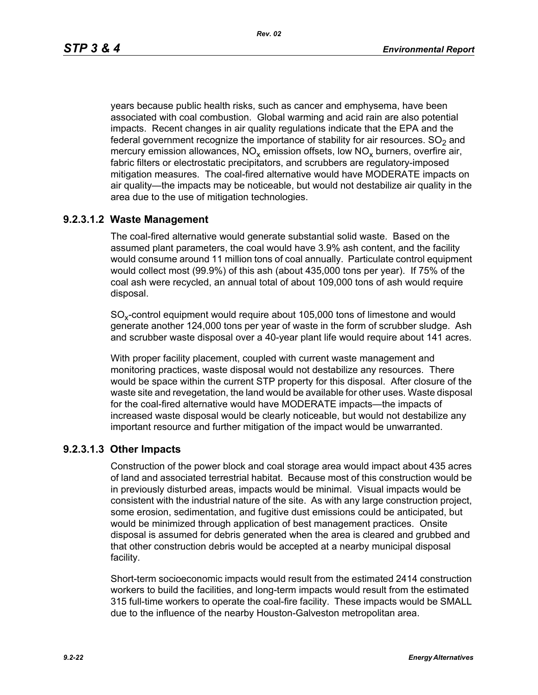years because public health risks, such as cancer and emphysema, have been associated with coal combustion. Global warming and acid rain are also potential impacts. Recent changes in air quality regulations indicate that the EPA and the federal government recognize the importance of stability for air resources.  $SO<sub>2</sub>$  and mercury emission allowances,  $NO_x$  emission offsets, low  $NO_x$  burners, overfire air, fabric filters or electrostatic precipitators, and scrubbers are regulatory-imposed mitigation measures. The coal-fired alternative would have MODERATE impacts on air quality—the impacts may be noticeable, but would not destabilize air quality in the area due to the use of mitigation technologies.

## **9.2.3.1.2 Waste Management**

The coal-fired alternative would generate substantial solid waste. Based on the assumed plant parameters, the coal would have 3.9% ash content, and the facility would consume around 11 million tons of coal annually. Particulate control equipment would collect most (99.9%) of this ash (about 435,000 tons per year). If 75% of the coal ash were recycled, an annual total of about 109,000 tons of ash would require disposal.

SO<sub>y</sub>-control equipment would require about 105,000 tons of limestone and would generate another 124,000 tons per year of waste in the form of scrubber sludge. Ash and scrubber waste disposal over a 40-year plant life would require about 141 acres.

With proper facility placement, coupled with current waste management and monitoring practices, waste disposal would not destabilize any resources. There would be space within the current STP property for this disposal. After closure of the waste site and revegetation, the land would be available for other uses. Waste disposal for the coal-fired alternative would have MODERATE impacts—the impacts of increased waste disposal would be clearly noticeable, but would not destabilize any important resource and further mitigation of the impact would be unwarranted.

## **9.2.3.1.3 Other Impacts**

Construction of the power block and coal storage area would impact about 435 acres of land and associated terrestrial habitat. Because most of this construction would be in previously disturbed areas, impacts would be minimal. Visual impacts would be consistent with the industrial nature of the site. As with any large construction project, some erosion, sedimentation, and fugitive dust emissions could be anticipated, but would be minimized through application of best management practices. Onsite disposal is assumed for debris generated when the area is cleared and grubbed and that other construction debris would be accepted at a nearby municipal disposal facility.

Short-term socioeconomic impacts would result from the estimated 2414 construction workers to build the facilities, and long-term impacts would result from the estimated 315 full-time workers to operate the coal-fire facility. These impacts would be SMALL due to the influence of the nearby Houston-Galveston metropolitan area.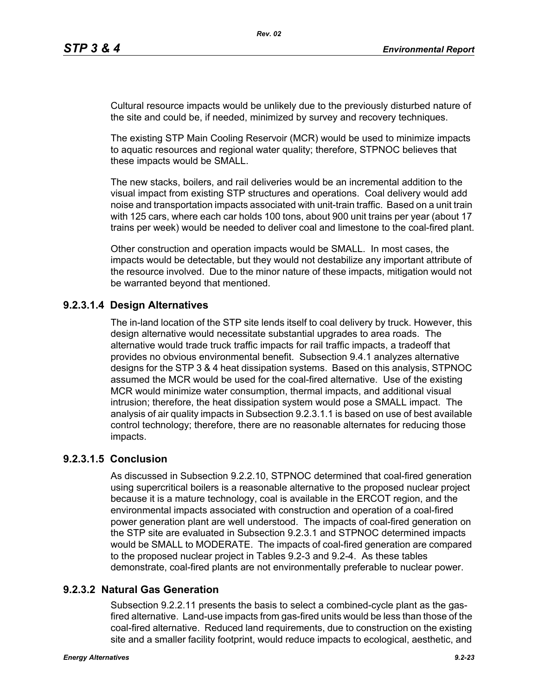Cultural resource impacts would be unlikely due to the previously disturbed nature of the site and could be, if needed, minimized by survey and recovery techniques.

The existing STP Main Cooling Reservoir (MCR) would be used to minimize impacts to aquatic resources and regional water quality; therefore, STPNOC believes that these impacts would be SMALL.

The new stacks, boilers, and rail deliveries would be an incremental addition to the visual impact from existing STP structures and operations. Coal delivery would add noise and transportation impacts associated with unit-train traffic. Based on a unit train with 125 cars, where each car holds 100 tons, about 900 unit trains per year (about 17 trains per week) would be needed to deliver coal and limestone to the coal-fired plant.

Other construction and operation impacts would be SMALL. In most cases, the impacts would be detectable, but they would not destabilize any important attribute of the resource involved. Due to the minor nature of these impacts, mitigation would not be warranted beyond that mentioned.

## **9.2.3.1.4 Design Alternatives**

The in-land location of the STP site lends itself to coal delivery by truck. However, this design alternative would necessitate substantial upgrades to area roads. The alternative would trade truck traffic impacts for rail traffic impacts, a tradeoff that provides no obvious environmental benefit. Subsection 9.4.1 analyzes alternative designs for the STP 3 & 4 heat dissipation systems. Based on this analysis, STPNOC assumed the MCR would be used for the coal-fired alternative. Use of the existing MCR would minimize water consumption, thermal impacts, and additional visual intrusion; therefore, the heat dissipation system would pose a SMALL impact. The analysis of air quality impacts in Subsection 9.2.3.1.1 is based on use of best available control technology; therefore, there are no reasonable alternates for reducing those impacts.

## **9.2.3.1.5 Conclusion**

As discussed in Subsection 9.2.2.10, STPNOC determined that coal-fired generation using supercritical boilers is a reasonable alternative to the proposed nuclear project because it is a mature technology, coal is available in the ERCOT region, and the environmental impacts associated with construction and operation of a coal-fired power generation plant are well understood. The impacts of coal-fired generation on the STP site are evaluated in Subsection 9.2.3.1 and STPNOC determined impacts would be SMALL to MODERATE. The impacts of coal-fired generation are compared to the proposed nuclear project in Tables 9.2-3 and 9.2-4. As these tables demonstrate, coal-fired plants are not environmentally preferable to nuclear power.

# **9.2.3.2 Natural Gas Generation**

Subsection 9.2.2.11 presents the basis to select a combined-cycle plant as the gasfired alternative. Land-use impacts from gas-fired units would be less than those of the coal-fired alternative. Reduced land requirements, due to construction on the existing site and a smaller facility footprint, would reduce impacts to ecological, aesthetic, and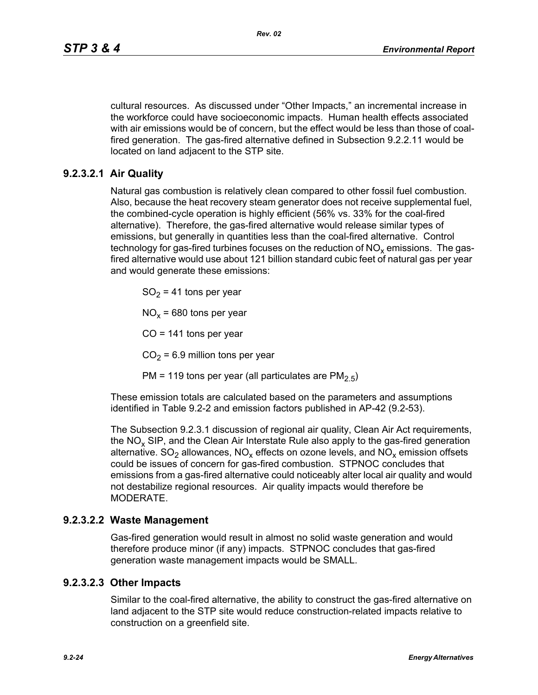cultural resources. As discussed under "Other Impacts," an incremental increase in the workforce could have socioeconomic impacts. Human health effects associated with air emissions would be of concern, but the effect would be less than those of coalfired generation. The gas-fired alternative defined in Subsection 9.2.2.11 would be located on land adjacent to the STP site.

## **9.2.3.2.1 Air Quality**

Natural gas combustion is relatively clean compared to other fossil fuel combustion. Also, because the heat recovery steam generator does not receive supplemental fuel, the combined-cycle operation is highly efficient (56% vs. 33% for the coal-fired alternative). Therefore, the gas-fired alternative would release similar types of emissions, but generally in quantities less than the coal-fired alternative. Control technology for gas-fired turbines focuses on the reduction of  $NO<sub>x</sub>$  emissions. The gasfired alternative would use about 121 billion standard cubic feet of natural gas per year and would generate these emissions:

 $SO<sub>2</sub>$  = 41 tons per year

 $NO<sub>x</sub>$  = 680 tons per year

CO = 141 tons per year

 $CO<sub>2</sub> = 6.9$  million tons per year

PM = 119 tons per year (all particulates are  $PM<sub>2.5</sub>$ )

These emission totals are calculated based on the parameters and assumptions identified in Table 9.2-2 and emission factors published in AP-42 (9.2-53).

The Subsection 9.2.3.1 discussion of regional air quality, Clean Air Act requirements, the  $NO<sub>x</sub>$  SIP, and the Clean Air Interstate Rule also apply to the gas-fired generation alternative.  $SO_2$  allowances,  $NO_x$  effects on ozone levels, and  $NO_x$  emission offsets could be issues of concern for gas-fired combustion. STPNOC concludes that emissions from a gas-fired alternative could noticeably alter local air quality and would not destabilize regional resources. Air quality impacts would therefore be MODERATE.

### **9.2.3.2.2 Waste Management**

Gas-fired generation would result in almost no solid waste generation and would therefore produce minor (if any) impacts. STPNOC concludes that gas-fired generation waste management impacts would be SMALL.

### **9.2.3.2.3 Other Impacts**

Similar to the coal-fired alternative, the ability to construct the gas-fired alternative on land adjacent to the STP site would reduce construction-related impacts relative to construction on a greenfield site.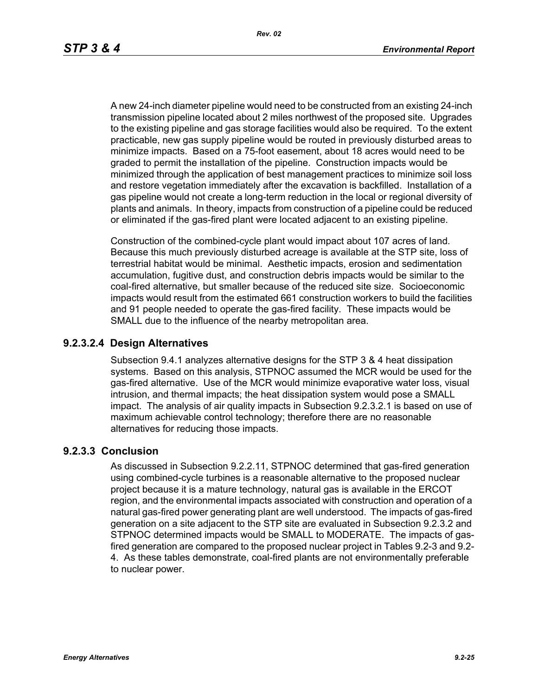A new 24-inch diameter pipeline would need to be constructed from an existing 24-inch transmission pipeline located about 2 miles northwest of the proposed site. Upgrades to the existing pipeline and gas storage facilities would also be required. To the extent practicable, new gas supply pipeline would be routed in previously disturbed areas to minimize impacts. Based on a 75-foot easement, about 18 acres would need to be graded to permit the installation of the pipeline. Construction impacts would be minimized through the application of best management practices to minimize soil loss and restore vegetation immediately after the excavation is backfilled. Installation of a gas pipeline would not create a long-term reduction in the local or regional diversity of plants and animals. In theory, impacts from construction of a pipeline could be reduced or eliminated if the gas-fired plant were located adjacent to an existing pipeline.

Construction of the combined-cycle plant would impact about 107 acres of land. Because this much previously disturbed acreage is available at the STP site, loss of terrestrial habitat would be minimal. Aesthetic impacts, erosion and sedimentation accumulation, fugitive dust, and construction debris impacts would be similar to the coal-fired alternative, but smaller because of the reduced site size. Socioeconomic impacts would result from the estimated 661 construction workers to build the facilities and 91 people needed to operate the gas-fired facility. These impacts would be SMALL due to the influence of the nearby metropolitan area.

### **9.2.3.2.4 Design Alternatives**

Subsection 9.4.1 analyzes alternative designs for the STP 3 & 4 heat dissipation systems. Based on this analysis, STPNOC assumed the MCR would be used for the gas-fired alternative. Use of the MCR would minimize evaporative water loss, visual intrusion, and thermal impacts; the heat dissipation system would pose a SMALL impact. The analysis of air quality impacts in Subsection 9.2.3.2.1 is based on use of maximum achievable control technology; therefore there are no reasonable alternatives for reducing those impacts.

### **9.2.3.3 Conclusion**

As discussed in Subsection 9.2.2.11, STPNOC determined that gas-fired generation using combined-cycle turbines is a reasonable alternative to the proposed nuclear project because it is a mature technology, natural gas is available in the ERCOT region, and the environmental impacts associated with construction and operation of a natural gas-fired power generating plant are well understood. The impacts of gas-fired generation on a site adjacent to the STP site are evaluated in Subsection 9.2.3.2 and STPNOC determined impacts would be SMALL to MODERATE. The impacts of gasfired generation are compared to the proposed nuclear project in Tables 9.2-3 and 9.2- 4. As these tables demonstrate, coal-fired plants are not environmentally preferable to nuclear power.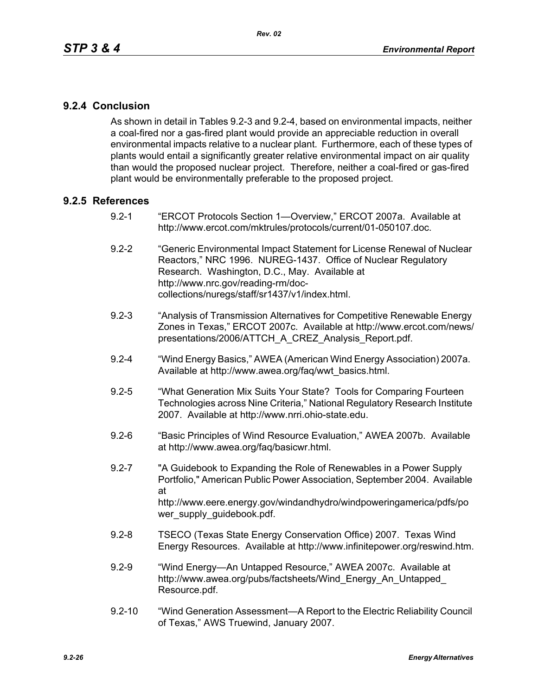## **9.2.4 Conclusion**

As shown in detail in Tables 9.2-3 and 9.2-4, based on environmental impacts, neither a coal-fired nor a gas-fired plant would provide an appreciable reduction in overall environmental impacts relative to a nuclear plant. Furthermore, each of these types of plants would entail a significantly greater relative environmental impact on air quality than would the proposed nuclear project. Therefore, neither a coal-fired or gas-fired plant would be environmentally preferable to the proposed project.

### **9.2.5 References**

- 9.2-1 "ERCOT Protocols Section 1—Overview," ERCOT 2007a. Available at http://www.ercot.com/mktrules/protocols/current/01-050107.doc.
- 9.2-2 "Generic Environmental Impact Statement for License Renewal of Nuclear Reactors," NRC 1996. NUREG-1437. Office of Nuclear Regulatory Research. Washington, D.C., May. Available at http://www.nrc.gov/reading-rm/doccollections/nuregs/staff/sr1437/v1/index.html.
- 9.2-3 "Analysis of Transmission Alternatives for Competitive Renewable Energy Zones in Texas," ERCOT 2007c. Available at http://www.ercot.com/news/ presentations/2006/ATTCH\_A\_CREZ\_Analysis\_Report.pdf.
- 9.2-4 "Wind Energy Basics," AWEA (American Wind Energy Association) 2007a. Available at http://www.awea.org/faq/wwt\_basics.html.
- 9.2-5 "What Generation Mix Suits Your State? Tools for Comparing Fourteen Technologies across Nine Criteria," National Regulatory Research Institute 2007. Available at http://www.nrri.ohio-state.edu.
- 9.2-6 "Basic Principles of Wind Resource Evaluation," AWEA 2007b. Available at http://www.awea.org/faq/basicwr.html.
- 9.2-7 "A Guidebook to Expanding the Role of Renewables in a Power Supply Portfolio," American Public Power Association, September 2004. Available at http://www.eere.energy.gov/windandhydro/windpoweringamerica/pdfs/po wer\_supply\_guidebook.pdf.
- 9.2-8 TSECO (Texas State Energy Conservation Office) 2007. Texas Wind Energy Resources. Available at http://www.infinitepower.org/reswind.htm.
- 9.2-9 "Wind Energy—An Untapped Resource," AWEA 2007c. Available at http://www.awea.org/pubs/factsheets/Wind\_Energy\_An\_Untapped\_ Resource.pdf.
- 9.2-10 "Wind Generation Assessment—A Report to the Electric Reliability Council of Texas," AWS Truewind, January 2007.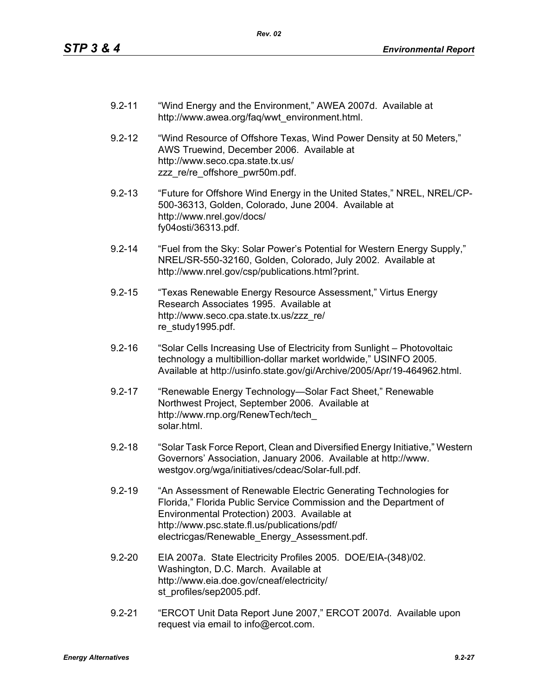- 9.2-11 "Wind Energy and the Environment," AWEA 2007d. Available at http://www.awea.org/faq/wwt\_environment.html.
- 9.2-12 "Wind Resource of Offshore Texas, Wind Power Density at 50 Meters," AWS Truewind, December 2006. Available at http://www.seco.cpa.state.tx.us/ zzz\_re/re\_offshore\_pwr50m.pdf.
- 9.2-13 "Future for Offshore Wind Energy in the United States," NREL, NREL/CP-500-36313, Golden, Colorado, June 2004. Available at http://www.nrel.gov/docs/ fy04osti/36313.pdf.
- 9.2-14 "Fuel from the Sky: Solar Power's Potential for Western Energy Supply," NREL/SR-550-32160, Golden, Colorado, July 2002. Available at http://www.nrel.gov/csp/publications.html?print.
- 9.2-15 "Texas Renewable Energy Resource Assessment," Virtus Energy Research Associates 1995. Available at http://www.seco.cpa.state.tx.us/zzz\_re/ re\_study1995.pdf.
- 9.2-16 "Solar Cells Increasing Use of Electricity from Sunlight Photovoltaic technology a multibillion-dollar market worldwide," USINFO 2005. Available at http://usinfo.state.gov/gi/Archive/2005/Apr/19-464962.html.
- 9.2-17 "Renewable Energy Technology—Solar Fact Sheet," Renewable Northwest Project, September 2006. Available at http://www.rnp.org/RenewTech/tech\_ solar.html.
- 9.2-18 "Solar Task Force Report, Clean and Diversified Energy Initiative," Western Governors' Association, January 2006. Available at http://www. westgov.org/wga/initiatives/cdeac/Solar-full.pdf.
- 9.2-19 "An Assessment of Renewable Electric Generating Technologies for Florida," Florida Public Service Commission and the Department of Environmental Protection) 2003. Available at http://www.psc.state.fl.us/publications/pdf/ electricgas/Renewable\_Energy\_Assessment.pdf.
- 9.2-20 EIA 2007a. State Electricity Profiles 2005. DOE/EIA-(348)/02. Washington, D.C. March. Available at http://www.eia.doe.gov/cneaf/electricity/ st\_profiles/sep2005.pdf.
- 9.2-21 "ERCOT Unit Data Report June 2007," ERCOT 2007d. Available upon request via email to info@ercot.com.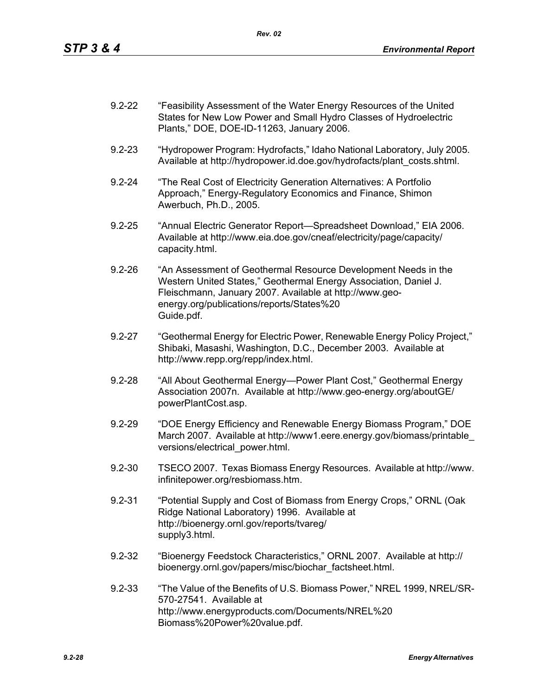| $9.2 - 22$ | "Feasibility Assessment of the Water Energy Resources of the United |
|------------|---------------------------------------------------------------------|
|            | States for New Low Power and Small Hydro Classes of Hydroelectric   |
|            | Plants," DOE, DOE-ID-11263, January 2006.                           |

- 9.2-23 "Hydropower Program: Hydrofacts," Idaho National Laboratory, July 2005. Available at http://hydropower.id.doe.gov/hydrofacts/plant\_costs.shtml.
- 9.2-24 "The Real Cost of Electricity Generation Alternatives: A Portfolio Approach," Energy-Regulatory Economics and Finance, Shimon Awerbuch, Ph.D., 2005.
- 9.2-25 "Annual Electric Generator Report—Spreadsheet Download," EIA 2006. Available at http://www.eia.doe.gov/cneaf/electricity/page/capacity/ capacity.html.
- 9.2-26 "An Assessment of Geothermal Resource Development Needs in the Western United States," Geothermal Energy Association, Daniel J. Fleischmann, January 2007. Available at http://www.geoenergy.org/publications/reports/States%20 Guide.pdf.
- 9.2-27 "Geothermal Energy for Electric Power, Renewable Energy Policy Project," Shibaki, Masashi, Washington, D.C., December 2003. Available at http://www.repp.org/repp/index.html.
- 9.2-28 "All About Geothermal Energy—Power Plant Cost," Geothermal Energy Association 2007n. Available at http://www.geo-energy.org/aboutGE/ powerPlantCost.asp.
- 9.2-29 "DOE Energy Efficiency and Renewable Energy Biomass Program," DOE March 2007. Available at http://www1.eere.energy.gov/biomass/printable\_ versions/electrical\_power.html.
- 9.2-30 TSECO 2007. Texas Biomass Energy Resources. Available at http://www. infinitepower.org/resbiomass.htm.
- 9.2-31 "Potential Supply and Cost of Biomass from Energy Crops," ORNL (Oak Ridge National Laboratory) 1996. Available at http://bioenergy.ornl.gov/reports/tvareg/ supply3.html.
- 9.2-32 "Bioenergy Feedstock Characteristics," ORNL 2007. Available at http:// bioenergy.ornl.gov/papers/misc/biochar\_factsheet.html.
- 9.2-33 "The Value of the Benefits of U.S. Biomass Power," NREL 1999, NREL/SR-570-27541. Available at http://www.energyproducts.com/Documents/NREL%20 Biomass%20Power%20value.pdf.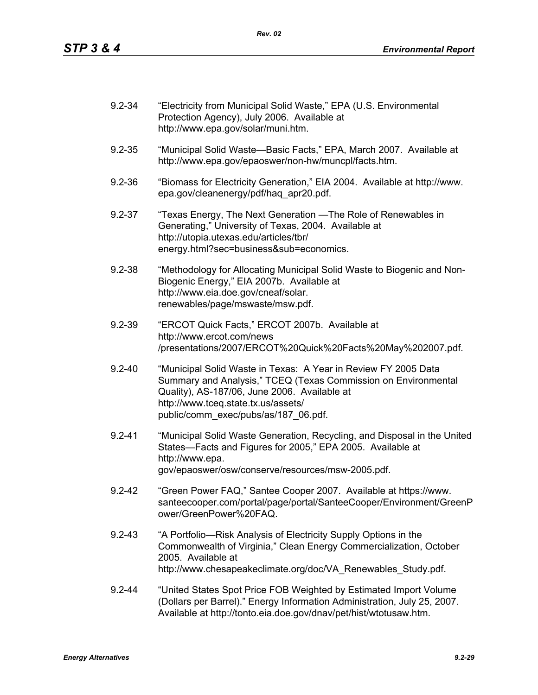| $9.2 - 34$ | "Electricity from Municipal Solid Waste," EPA (U.S. Environmental<br>Protection Agency), July 2006. Available at<br>http://www.epa.gov/solar/muni.htm.                                                                                                          |
|------------|-----------------------------------------------------------------------------------------------------------------------------------------------------------------------------------------------------------------------------------------------------------------|
| $9.2 - 35$ | "Municipal Solid Waste-Basic Facts," EPA, March 2007. Available at<br>http://www.epa.gov/epaoswer/non-hw/muncpl/facts.htm.                                                                                                                                      |
| $9.2 - 36$ | "Biomass for Electricity Generation," EIA 2004. Available at http://www.<br>epa.gov/cleanenergy/pdf/haq apr20.pdf.                                                                                                                                              |
| $9.2 - 37$ | "Texas Energy, The Next Generation — The Role of Renewables in<br>Generating," University of Texas, 2004. Available at<br>http://utopia.utexas.edu/articles/tbr/<br>energy.html?sec=business⊂=economics.                                                        |
| $9.2 - 38$ | "Methodology for Allocating Municipal Solid Waste to Biogenic and Non-<br>Biogenic Energy," EIA 2007b. Available at<br>http://www.eia.doe.gov/cneaf/solar.<br>renewables/page/mswaste/msw.pdf.                                                                  |
| $9.2 - 39$ | "ERCOT Quick Facts," ERCOT 2007b. Available at<br>http://www.ercot.com/news<br>/presentations/2007/ERCOT%20Quick%20Facts%20May%202007.pdf.                                                                                                                      |
| $9.2 - 40$ | "Municipal Solid Waste in Texas: A Year in Review FY 2005 Data<br>Summary and Analysis," TCEQ (Texas Commission on Environmental<br>Quality), AS-187/06, June 2006. Available at<br>http://www.tceq.state.tx.us/assets/<br>public/comm_exec/pubs/as/187_06.pdf. |
| $9.2 - 41$ | "Municipal Solid Waste Generation, Recycling, and Disposal in the United<br>States-Facts and Figures for 2005," EPA 2005. Available at<br>http://www.epa.<br>gov/epaoswer/osw/conserve/resources/msw-2005.pdf.                                                  |
| $9.2 - 42$ | "Green Power FAQ," Santee Cooper 2007. Available at https://www.<br>santeecooper.com/portal/page/portal/SanteeCooper/Environment/GreenP<br>ower/GreenPower%20FAQ.                                                                                               |
| $9.2 - 43$ | "A Portfolio—Risk Analysis of Electricity Supply Options in the<br>Commonwealth of Virginia," Clean Energy Commercialization, October<br>2005. Available at<br>http://www.chesapeakeclimate.org/doc/VA Renewables Study.pdf.                                    |
| $9.2 - 44$ | "United States Spot Price FOB Weighted by Estimated Import Volume<br>(Dollars per Barrel)." Energy Information Administration, July 25, 2007.<br>Available at http://tonto.eia.doe.gov/dnav/pet/hist/wtotusaw.htm.                                              |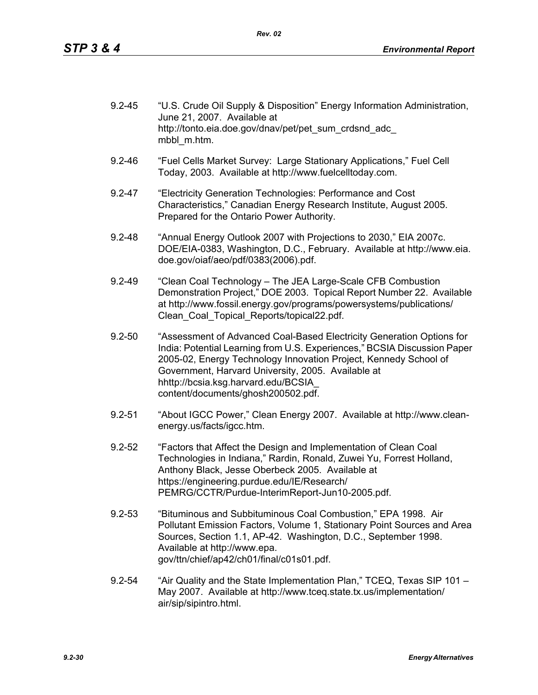| $9.2 - 45$ | "U.S. Crude Oil Supply & Disposition" Energy Information Administration,<br>June 21, 2007. Available at |
|------------|---------------------------------------------------------------------------------------------------------|
|            | http://tonto.eia.doe.gov/dnav/pet/pet sum crdsnd adc<br>mbbl m.htm.                                     |

- 9.2-46 "Fuel Cells Market Survey: Large Stationary Applications," Fuel Cell Today, 2003. Available at http://www.fuelcelltoday.com.
- 9.2-47 "Electricity Generation Technologies: Performance and Cost Characteristics," Canadian Energy Research Institute, August 2005. Prepared for the Ontario Power Authority.
- 9.2-48 "Annual Energy Outlook 2007 with Projections to 2030," EIA 2007c. DOE/EIA-0383, Washington, D.C., February. Available at http://www.eia. doe.gov/oiaf/aeo/pdf/0383(2006).pdf.
- 9.2-49 "Clean Coal Technology The JEA Large-Scale CFB Combustion Demonstration Project," DOE 2003. Topical Report Number 22. Available at http://www.fossil.energy.gov/programs/powersystems/publications/ Clean\_Coal\_Topical\_Reports/topical22.pdf.
- 9.2-50 "Assessment of Advanced Coal-Based Electricity Generation Options for India: Potential Learning from U.S. Experiences," BCSIA Discussion Paper 2005-02, Energy Technology Innovation Project, Kennedy School of Government, Harvard University, 2005. Available at hhttp://bcsia.ksg.harvard.edu/BCSIA\_ content/documents/ghosh200502.pdf.
- 9.2-51 "About IGCC Power," Clean Energy 2007. Available at http://www.cleanenergy.us/facts/igcc.htm.
- 9.2-52 "Factors that Affect the Design and Implementation of Clean Coal Technologies in Indiana," Rardin, Ronald, Zuwei Yu, Forrest Holland, Anthony Black, Jesse Oberbeck 2005. Available at https://engineering.purdue.edu/IE/Research/ PEMRG/CCTR/Purdue-InterimReport-Jun10-2005.pdf.
- 9.2-53 "Bituminous and Subbituminous Coal Combustion," EPA 1998. Air Pollutant Emission Factors, Volume 1, Stationary Point Sources and Area Sources, Section 1.1, AP-42. Washington, D.C., September 1998. Available at http://www.epa. gov/ttn/chief/ap42/ch01/final/c01s01.pdf.
- 9.2-54 "Air Quality and the State Implementation Plan," TCEQ, Texas SIP 101 May 2007. Available at http://www.tceq.state.tx.us/implementation/ air/sip/sipintro.html.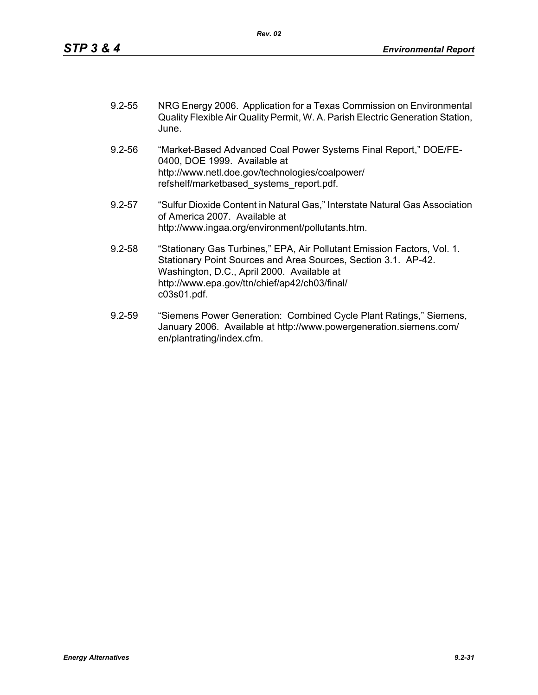| $9.2 - 55$ | NRG Energy 2006. Application for a Texas Commission on Environmental           |
|------------|--------------------------------------------------------------------------------|
|            | Quality Flexible Air Quality Permit, W. A. Parish Electric Generation Station, |
|            | June.                                                                          |

- 9.2-56 "Market-Based Advanced Coal Power Systems Final Report," DOE/FE-0400, DOE 1999. Available at http://www.netl.doe.gov/technologies/coalpower/ refshelf/marketbased\_systems\_report.pdf.
- 9.2-57 "Sulfur Dioxide Content in Natural Gas," Interstate Natural Gas Association of America 2007. Available at http://www.ingaa.org/environment/pollutants.htm.
- 9.2-58 "Stationary Gas Turbines," EPA, Air Pollutant Emission Factors, Vol. 1. Stationary Point Sources and Area Sources, Section 3.1. AP-42. Washington, D.C., April 2000. Available at http://www.epa.gov/ttn/chief/ap42/ch03/final/ c03s01.pdf.
- 9.2-59 "Siemens Power Generation: Combined Cycle Plant Ratings," Siemens, January 2006. Available at http://www.powergeneration.siemens.com/ en/plantrating/index.cfm.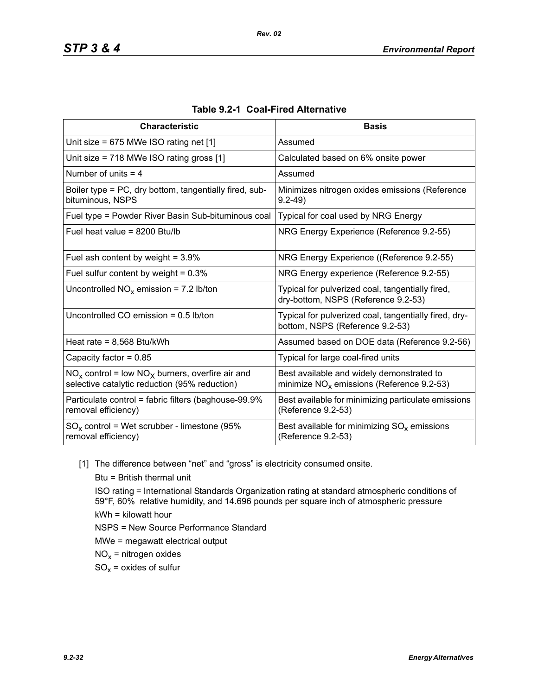| <b>Characteristic</b>                                                                                  | <b>Basis</b>                                                                              |
|--------------------------------------------------------------------------------------------------------|-------------------------------------------------------------------------------------------|
| Unit size = $675$ MWe ISO rating net [1]                                                               | Assumed                                                                                   |
| Unit size = 718 MWe ISO rating gross [1]                                                               | Calculated based on 6% onsite power                                                       |
| Number of units $=$ 4                                                                                  | Assumed                                                                                   |
| Boiler type = PC, dry bottom, tangentially fired, sub-<br>bituminous, NSPS                             | Minimizes nitrogen oxides emissions (Reference<br>$9.2 - 49$                              |
| Fuel type = Powder River Basin Sub-bituminous coal                                                     | Typical for coal used by NRG Energy                                                       |
| Fuel heat value = 8200 Btu/lb                                                                          | NRG Energy Experience (Reference 9.2-55)                                                  |
| Fuel ash content by weight = $3.9\%$                                                                   | NRG Energy Experience ((Reference 9.2-55)                                                 |
| Fuel sulfur content by weight = $0.3\%$                                                                | NRG Energy experience (Reference 9.2-55)                                                  |
| Uncontrolled $NO_x$ emission = 7.2 lb/ton                                                              | Typical for pulverized coal, tangentially fired,<br>dry-bottom, NSPS (Reference 9.2-53)   |
| Uncontrolled CO emission $= 0.5$ lb/ton                                                                | Typical for pulverized coal, tangentially fired, dry-<br>bottom, NSPS (Reference 9.2-53)  |
| Heat rate = $8,568$ Btu/kWh                                                                            | Assumed based on DOE data (Reference 9.2-56)                                              |
| Capacity factor = $0.85$                                                                               | Typical for large coal-fired units                                                        |
| $NO_x$ control = low $NO_x$ burners, overfire air and<br>selective catalytic reduction (95% reduction) | Best available and widely demonstrated to<br>minimize $NO_x$ emissions (Reference 9.2-53) |
| Particulate control = fabric filters (baghouse-99.9%<br>removal efficiency)                            | Best available for minimizing particulate emissions<br>(Reference 9.2-53)                 |
| $SO_x$ control = Wet scrubber - limestone (95%<br>removal efficiency)                                  | Best available for minimizing $SO_x$ emissions<br>(Reference 9.2-53)                      |

|  |  | Table 9.2-1 Coal-Fired Alternative |
|--|--|------------------------------------|
|--|--|------------------------------------|

[1] The difference between "net" and "gross" is electricity consumed onsite.

Btu = British thermal unit ISO rating = International Standards Organization rating at standard atmospheric conditions of 59°F, 60% relative humidity, and 14.696 pounds per square inch of atmospheric pressure kWh = kilowatt hour NSPS = New Source Performance Standard MWe = megawatt electrical output  $NO<sub>x</sub>$  = nitrogen oxides  $SO_x =$  oxides of sulfur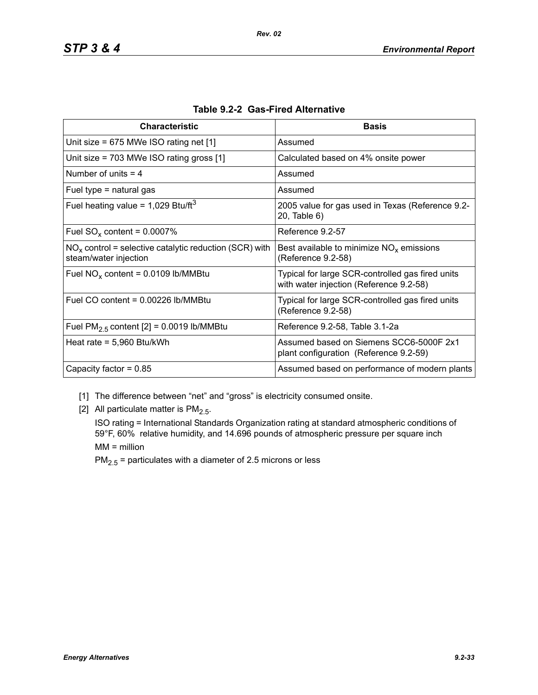| <b>Characteristic</b>                                                             | <b>Basis</b>                                                                                |
|-----------------------------------------------------------------------------------|---------------------------------------------------------------------------------------------|
| Unit size = $675$ MWe ISO rating net [1]                                          | Assumed                                                                                     |
| Unit size = $703$ MWe ISO rating gross [1]                                        | Calculated based on 4% onsite power                                                         |
| Number of units $=$ 4                                                             | Assumed                                                                                     |
| Fuel type $=$ natural gas                                                         | Assumed                                                                                     |
| Fuel heating value = $1,029$ Btu/ft <sup>3</sup>                                  | 2005 value for gas used in Texas (Reference 9.2-<br>20, Table 6)                            |
| Fuel $SO_x$ content = 0.0007%                                                     | Reference 9.2-57                                                                            |
| $NOx$ control = selective catalytic reduction (SCR) with<br>steam/water injection | Best available to minimize $NOx$ emissions<br>(Reference 9.2-58)                            |
| Fuel $NO_x$ content = 0.0109 lb/MMBtu                                             | Typical for large SCR-controlled gas fired units<br>with water injection (Reference 9.2-58) |
| Fuel CO content = 0.00226 lb/MMBtu                                                | Typical for large SCR-controlled gas fired units<br>(Reference 9.2-58)                      |
| Fuel $PM2.5$ content [2] = 0.0019 lb/MMBtu                                        | Reference 9.2-58, Table 3.1-2a                                                              |
| Heat rate = $5,960$ Btu/kWh                                                       | Assumed based on Siemens SCC6-5000F 2x1<br>plant configuration (Reference 9.2-59)           |
| Capacity factor = $0.85$                                                          | Assumed based on performance of modern plants                                               |

- [1] The difference between "net" and "gross" is electricity consumed onsite.
- [2] All particulate matter is  $PM<sub>2.5</sub>$ .

ISO rating = International Standards Organization rating at standard atmospheric conditions of 59°F, 60% relative humidity, and 14.696 pounds of atmospheric pressure per square inch MM = million

 $PM_{2.5}$  = particulates with a diameter of 2.5 microns or less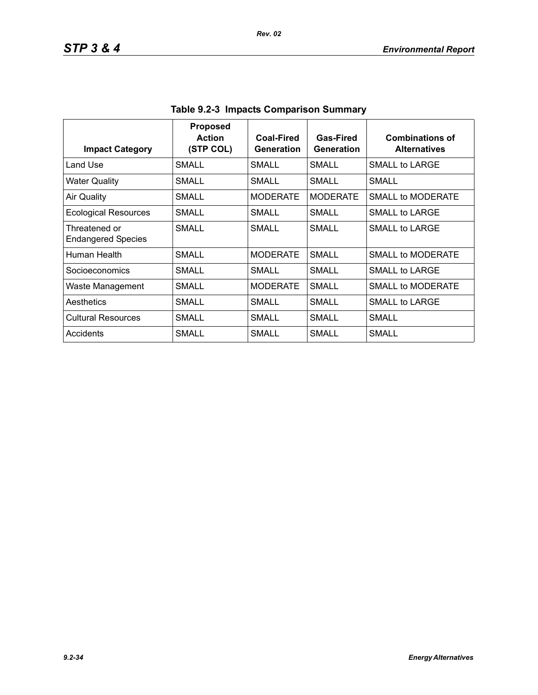| <b>Impact Category</b>                     | <b>Proposed</b><br><b>Action</b><br>(STP COL) | Coal-Fired<br>Generation | Gas-Fired<br>Generation | <b>Combinations of</b><br><b>Alternatives</b> |
|--------------------------------------------|-----------------------------------------------|--------------------------|-------------------------|-----------------------------------------------|
| Land Use                                   | SMALL                                         | SMALL                    | SMALL.                  | SMALL to LARGE                                |
| <b>Water Quality</b>                       | <b>SMALL</b>                                  | <b>SMALL</b>             | SMALL                   | <b>SMALL</b>                                  |
| <b>Air Quality</b>                         | SMALL                                         | <b>MODERATE</b>          | <b>MODERATE</b>         | <b>SMALL to MODERATE</b>                      |
| <b>Ecological Resources</b>                | SMALL                                         | SMALL                    | <b>SMALL</b>            | SMALL to LARGE                                |
| Threatened or<br><b>Endangered Species</b> | <b>SMALL</b>                                  | SMALL                    | SMALL                   | SMALL to LARGE                                |
| Human Health                               | SMALL                                         | <b>MODERATE</b>          | <b>SMALL</b>            | SMALL to MODERATE                             |
| Socioeconomics                             | <b>SMALL</b>                                  | SMALL                    | SMALL                   | SMALL to LARGE                                |
| Waste Management                           | SMALL                                         | <b>MODERATE</b>          | SMALL                   | SMALL to MODERATE                             |
| Aesthetics                                 | SMALL                                         | SMALL                    | SMALL                   | SMALL to LARGE                                |
| <b>Cultural Resources</b>                  | SMALL                                         | SMALL                    | SMALL                   | SMALL                                         |
| Accidents                                  | SMALL                                         | SMALL                    | SMALL                   | SMALL                                         |

**Table 9.2-3 Impacts Comparison Summary**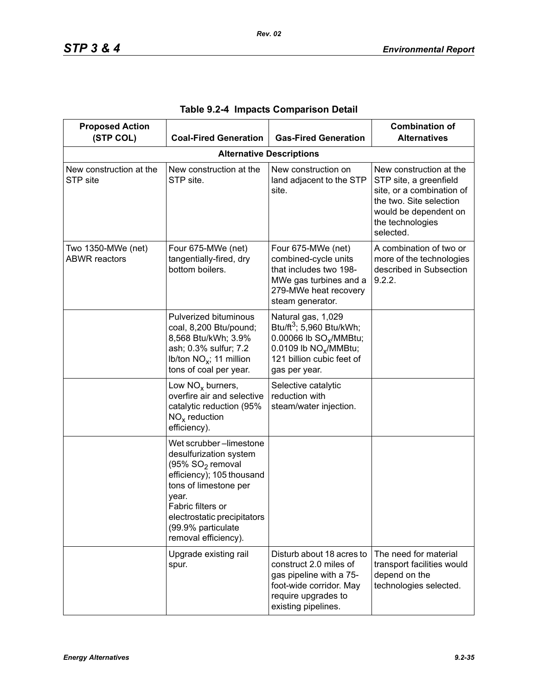| <b>Proposed Action</b><br>(STP COL)        | <b>Coal-Fired Generation</b>                                                                                                                                                                                                                      | <b>Gas-Fired Generation</b>                                                                                                                                                         | <b>Combination of</b><br><b>Alternatives</b>                                                                                                                        |  |
|--------------------------------------------|---------------------------------------------------------------------------------------------------------------------------------------------------------------------------------------------------------------------------------------------------|-------------------------------------------------------------------------------------------------------------------------------------------------------------------------------------|---------------------------------------------------------------------------------------------------------------------------------------------------------------------|--|
| <b>Alternative Descriptions</b>            |                                                                                                                                                                                                                                                   |                                                                                                                                                                                     |                                                                                                                                                                     |  |
| New construction at the<br>STP site        | New construction at the<br>STP site.                                                                                                                                                                                                              | New construction on<br>land adjacent to the STP<br>site.                                                                                                                            | New construction at the<br>STP site, a greenfield<br>site, or a combination of<br>the two. Site selection<br>would be dependent on<br>the technologies<br>selected. |  |
| Two 1350-MWe (net)<br><b>ABWR</b> reactors | Four 675-MWe (net)<br>tangentially-fired, dry<br>bottom boilers.                                                                                                                                                                                  | Four 675-MWe (net)<br>combined-cycle units<br>that includes two 198-<br>MWe gas turbines and a<br>279-MWe heat recovery<br>steam generator.                                         | A combination of two or<br>more of the technologies<br>described in Subsection<br>9.2.2.                                                                            |  |
|                                            | Pulverized bituminous<br>coal, 8,200 Btu/pound;<br>8,568 Btu/kWh; 3.9%<br>ash; 0.3% sulfur; 7.2<br>Ib/ton $NO_x$ ; 11 million<br>tons of coal per year.                                                                                           | Natural gas, 1,029<br>Btu/ft <sup>3</sup> ; 5,960 Btu/kWh;<br>0.00066 lb SO <sub>v</sub> /MMBtu;<br>0.0109 lb NO <sub>x</sub> /MMBtu;<br>121 billion cubic feet of<br>gas per year. |                                                                                                                                                                     |  |
|                                            | Low $NOx$ burners,<br>overfire air and selective<br>catalytic reduction (95%<br>$NOx$ reduction<br>efficiency).                                                                                                                                   | Selective catalytic<br>reduction with<br>steam/water injection.                                                                                                                     |                                                                                                                                                                     |  |
|                                            | Wet scrubber-limestone<br>desulfurization system<br>(95% SO <sub>2</sub> removal<br>efficiency); 105 thousand<br>tons of limestone per<br>year.<br>Fabric filters or<br>electrostatic precipitators<br>(99.9% particulate<br>removal efficiency). |                                                                                                                                                                                     |                                                                                                                                                                     |  |
|                                            | Upgrade existing rail<br>spur.                                                                                                                                                                                                                    | Disturb about 18 acres to<br>construct 2.0 miles of<br>gas pipeline with a 75-<br>foot-wide corridor. May<br>require upgrades to<br>existing pipelines.                             | The need for material<br>transport facilities would<br>depend on the<br>technologies selected.                                                                      |  |

| Table 9.2-4 Impacts Comparison Detail |
|---------------------------------------|
|---------------------------------------|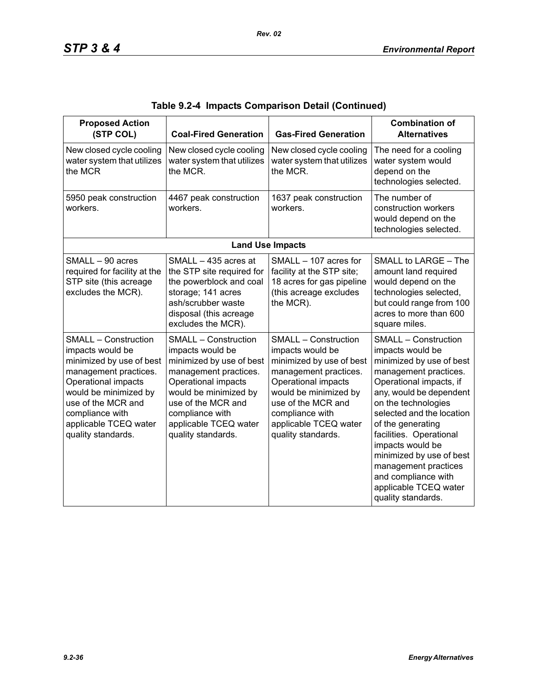| <b>Proposed Action</b><br>(STP COL)                                                                                                                                                                                                          | <b>Coal-Fired Generation</b>                                                                                                                                                                                                                 | <b>Gas-Fired Generation</b>                                                                                                                                                                                                                  | <b>Combination of</b><br><b>Alternatives</b>                                                                                                                                                                                                                                                                                                                                                                 |
|----------------------------------------------------------------------------------------------------------------------------------------------------------------------------------------------------------------------------------------------|----------------------------------------------------------------------------------------------------------------------------------------------------------------------------------------------------------------------------------------------|----------------------------------------------------------------------------------------------------------------------------------------------------------------------------------------------------------------------------------------------|--------------------------------------------------------------------------------------------------------------------------------------------------------------------------------------------------------------------------------------------------------------------------------------------------------------------------------------------------------------------------------------------------------------|
| New closed cycle cooling<br>water system that utilizes<br>the MCR                                                                                                                                                                            | New closed cycle cooling<br>water system that utilizes<br>the MCR.                                                                                                                                                                           | New closed cycle cooling<br>water system that utilizes<br>the MCR.                                                                                                                                                                           | The need for a cooling<br>water system would<br>depend on the<br>technologies selected.                                                                                                                                                                                                                                                                                                                      |
| 5950 peak construction<br>workers.                                                                                                                                                                                                           | 4467 peak construction<br>workers.                                                                                                                                                                                                           | 1637 peak construction<br>workers.                                                                                                                                                                                                           | The number of<br>construction workers<br>would depend on the<br>technologies selected.                                                                                                                                                                                                                                                                                                                       |
|                                                                                                                                                                                                                                              |                                                                                                                                                                                                                                              | <b>Land Use Impacts</b>                                                                                                                                                                                                                      |                                                                                                                                                                                                                                                                                                                                                                                                              |
| SMALL - 90 acres<br>required for facility at the<br>STP site (this acreage<br>excludes the MCR).                                                                                                                                             | SMALL - 435 acres at<br>the STP site required for<br>the powerblock and coal<br>storage; 141 acres<br>ash/scrubber waste<br>disposal (this acreage<br>excludes the MCR).                                                                     | SMALL - 107 acres for<br>facility at the STP site;<br>18 acres for gas pipeline<br>(this acreage excludes<br>the MCR).                                                                                                                       | SMALL to LARGE - The<br>amount land required<br>would depend on the<br>technologies selected,<br>but could range from 100<br>acres to more than 600<br>square miles.                                                                                                                                                                                                                                         |
| <b>SMALL - Construction</b><br>impacts would be<br>minimized by use of best<br>management practices.<br>Operational impacts<br>would be minimized by<br>use of the MCR and<br>compliance with<br>applicable TCEQ water<br>quality standards. | <b>SMALL - Construction</b><br>impacts would be<br>minimized by use of best<br>management practices.<br>Operational impacts<br>would be minimized by<br>use of the MCR and<br>compliance with<br>applicable TCEQ water<br>quality standards. | <b>SMALL - Construction</b><br>impacts would be<br>minimized by use of best<br>management practices.<br>Operational impacts<br>would be minimized by<br>use of the MCR and<br>compliance with<br>applicable TCEQ water<br>quality standards. | <b>SMALL - Construction</b><br>impacts would be<br>minimized by use of best<br>management practices.<br>Operational impacts, if<br>any, would be dependent<br>on the technologies<br>selected and the location<br>of the generating<br>facilities. Operational<br>impacts would be<br>minimized by use of best<br>management practices<br>and compliance with<br>applicable TCEQ water<br>quality standards. |

|  |  | Table 9.2-4  Impacts Comparison Detail (Continued) |  |  |
|--|--|----------------------------------------------------|--|--|
|--|--|----------------------------------------------------|--|--|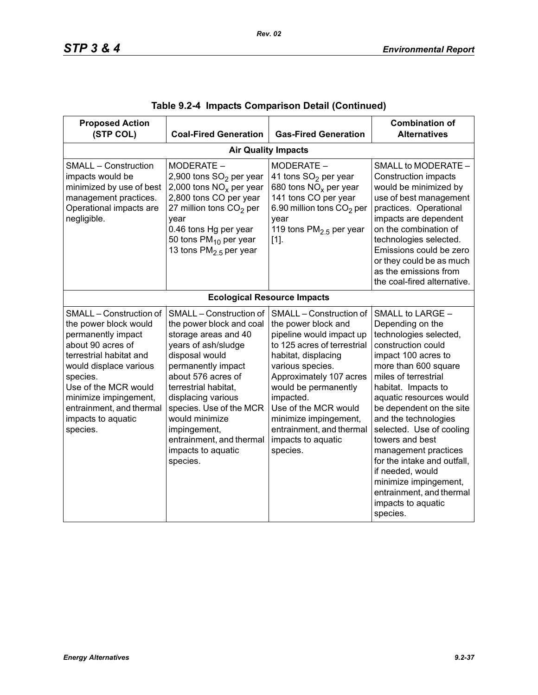| <b>Proposed Action</b><br>(STP COL)                                                                                                                                                                                                                                         | <b>Coal-Fired Generation</b>                                                                                                                                                                                                                                                                                                              | <b>Gas-Fired Generation</b>                                                                                                                                                                                                                                                                                                         | <b>Combination of</b><br><b>Alternatives</b>                                                                                                                                                                                                                                                                                                                                                                                                                                       |  |  |  |  |
|-----------------------------------------------------------------------------------------------------------------------------------------------------------------------------------------------------------------------------------------------------------------------------|-------------------------------------------------------------------------------------------------------------------------------------------------------------------------------------------------------------------------------------------------------------------------------------------------------------------------------------------|-------------------------------------------------------------------------------------------------------------------------------------------------------------------------------------------------------------------------------------------------------------------------------------------------------------------------------------|------------------------------------------------------------------------------------------------------------------------------------------------------------------------------------------------------------------------------------------------------------------------------------------------------------------------------------------------------------------------------------------------------------------------------------------------------------------------------------|--|--|--|--|
|                                                                                                                                                                                                                                                                             | <b>Air Quality Impacts</b>                                                                                                                                                                                                                                                                                                                |                                                                                                                                                                                                                                                                                                                                     |                                                                                                                                                                                                                                                                                                                                                                                                                                                                                    |  |  |  |  |
| <b>SMALL - Construction</b><br>impacts would be<br>minimized by use of best<br>management practices.<br>Operational impacts are<br>negligible.                                                                                                                              | MODERATE -<br>2,900 tons SO <sub>2</sub> per year<br>2,000 tons $NOx$ per year<br>2,800 tons CO per year<br>27 million tons $CO2$ per<br>year<br>0.46 tons Hg per year<br>50 tons PM <sub>10</sub> per year<br>13 tons PM <sub>2.5</sub> per year                                                                                         | MODERATE -<br>41 tons SO <sub>2</sub> per year<br>680 tons $NOx$ per year<br>141 tons CO per year<br>6.90 million tons CO <sub>2</sub> per<br>vear<br>119 tons $PM2.5$ per year<br>$[1]$ .                                                                                                                                          | SMALL to MODERATE -<br><b>Construction impacts</b><br>would be minimized by<br>use of best management<br>practices. Operational<br>impacts are dependent<br>on the combination of<br>technologies selected.<br>Emissions could be zero<br>or they could be as much<br>as the emissions from<br>the coal-fired alternative.                                                                                                                                                         |  |  |  |  |
|                                                                                                                                                                                                                                                                             |                                                                                                                                                                                                                                                                                                                                           | <b>Ecological Resource Impacts</b>                                                                                                                                                                                                                                                                                                  |                                                                                                                                                                                                                                                                                                                                                                                                                                                                                    |  |  |  |  |
| SMALL - Construction of<br>the power block would<br>permanently impact<br>about 90 acres of<br>terrestrial habitat and<br>would displace various<br>species.<br>Use of the MCR would<br>minimize impingement,<br>entrainment, and thermal<br>impacts to aquatic<br>species. | SMALL - Construction of<br>the power block and coal<br>storage areas and 40<br>years of ash/sludge<br>disposal would<br>permanently impact<br>about 576 acres of<br>terrestrial habitat,<br>displacing various<br>species. Use of the MCR<br>would minimize<br>impingement,<br>entrainment, and thermal<br>impacts to aquatic<br>species. | SMALL - Construction of<br>the power block and<br>pipeline would impact up<br>to 125 acres of terrestrial<br>habitat, displacing<br>various species.<br>Approximately 107 acres<br>would be permanently<br>impacted.<br>Use of the MCR would<br>minimize impingement,<br>entrainment, and thermal<br>impacts to aquatic<br>species. | SMALL to LARGE -<br>Depending on the<br>technologies selected,<br>construction could<br>impact 100 acres to<br>more than 600 square<br>miles of terrestrial<br>habitat. Impacts to<br>aquatic resources would<br>be dependent on the site<br>and the technologies<br>selected. Use of cooling<br>towers and best<br>management practices<br>for the intake and outfall,<br>if needed, would<br>minimize impingement,<br>entrainment, and thermal<br>impacts to aquatic<br>species. |  |  |  |  |

|  |  | Table 9.2-4  Impacts Comparison Detail (Continued) |  |  |  |
|--|--|----------------------------------------------------|--|--|--|
|--|--|----------------------------------------------------|--|--|--|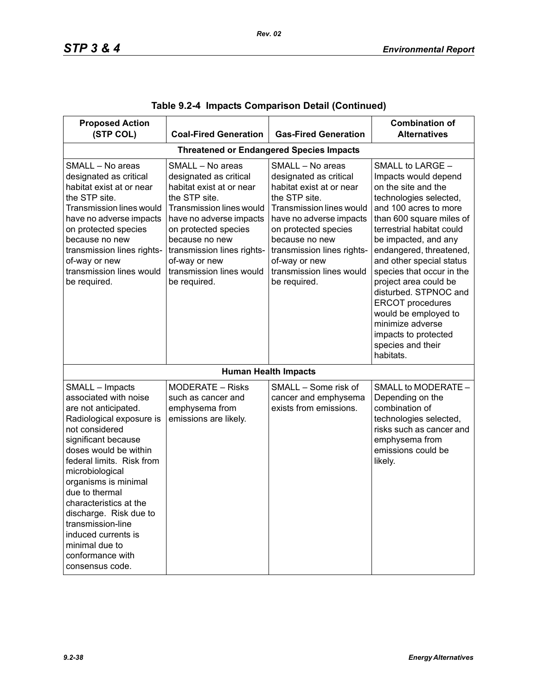| <b>Proposed Action</b><br>(STP COL)                                                                                                                                                                                                                                                                                                                                                                               | <b>Coal-Fired Generation</b>                                                                                                                                                                                                                                                        | <b>Gas-Fired Generation</b>                                                                                                                                                                                                                                                                | <b>Combination of</b><br><b>Alternatives</b>                                                                                                                                                                                                                                                                                                                                                                                                                               |  |  |  |
|-------------------------------------------------------------------------------------------------------------------------------------------------------------------------------------------------------------------------------------------------------------------------------------------------------------------------------------------------------------------------------------------------------------------|-------------------------------------------------------------------------------------------------------------------------------------------------------------------------------------------------------------------------------------------------------------------------------------|--------------------------------------------------------------------------------------------------------------------------------------------------------------------------------------------------------------------------------------------------------------------------------------------|----------------------------------------------------------------------------------------------------------------------------------------------------------------------------------------------------------------------------------------------------------------------------------------------------------------------------------------------------------------------------------------------------------------------------------------------------------------------------|--|--|--|
| <b>Threatened or Endangered Species Impacts</b>                                                                                                                                                                                                                                                                                                                                                                   |                                                                                                                                                                                                                                                                                     |                                                                                                                                                                                                                                                                                            |                                                                                                                                                                                                                                                                                                                                                                                                                                                                            |  |  |  |
| SMALL - No areas<br>designated as critical<br>habitat exist at or near<br>the STP site.<br><b>Transmission lines would</b><br>have no adverse impacts<br>on protected species<br>because no new<br>transmission lines rights-<br>of-way or new<br>transmission lines would<br>be required.                                                                                                                        | SMALL - No areas<br>designated as critical<br>habitat exist at or near<br>the STP site.<br>Transmission lines would<br>have no adverse impacts<br>on protected species<br>because no new<br>transmission lines rights-<br>of-way or new<br>transmission lines would<br>be required. | SMALL - No areas<br>designated as critical<br>habitat exist at or near<br>the STP site.<br><b>Transmission lines would</b><br>have no adverse impacts<br>on protected species<br>because no new<br>transmission lines rights-<br>of-way or new<br>transmission lines would<br>be required. | SMALL to LARGE -<br>Impacts would depend<br>on the site and the<br>technologies selected,<br>and 100 acres to more<br>than 600 square miles of<br>terrestrial habitat could<br>be impacted, and any<br>endangered, threatened,<br>and other special status<br>species that occur in the<br>project area could be<br>disturbed. STPNOC and<br><b>ERCOT</b> procedures<br>would be employed to<br>minimize adverse<br>impacts to protected<br>species and their<br>habitats. |  |  |  |
|                                                                                                                                                                                                                                                                                                                                                                                                                   |                                                                                                                                                                                                                                                                                     | <b>Human Health Impacts</b>                                                                                                                                                                                                                                                                |                                                                                                                                                                                                                                                                                                                                                                                                                                                                            |  |  |  |
| SMALL - Impacts<br>associated with noise<br>are not anticipated.<br>Radiological exposure is<br>not considered<br>significant because<br>doses would be within<br>federal limits. Risk from<br>microbiological<br>organisms is minimal<br>due to thermal<br>characteristics at the<br>discharge. Risk due to<br>transmission-line<br>induced currents is<br>minimal due to<br>conformance with<br>consensus code. | <b>MODERATE - Risks</b><br>such as cancer and<br>emphysema from<br>emissions are likely.                                                                                                                                                                                            | SMALL - Some risk of<br>cancer and emphysema<br>exists from emissions.                                                                                                                                                                                                                     | SMALL to MODERATE -<br>Depending on the<br>combination of<br>technologies selected,<br>risks such as cancer and<br>emphysema from<br>emissions could be<br>likely.                                                                                                                                                                                                                                                                                                         |  |  |  |

|  |  | Table 9.2-4  Impacts Comparison Detail (Continued) |  |  |
|--|--|----------------------------------------------------|--|--|
|--|--|----------------------------------------------------|--|--|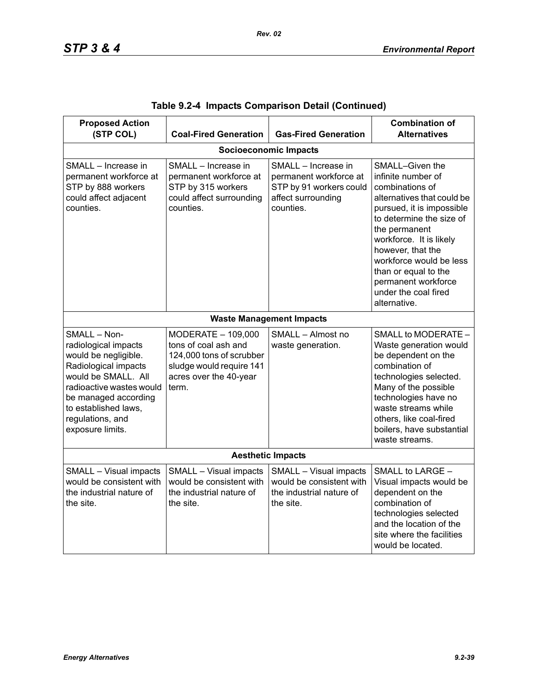| <b>Proposed Action</b><br>(STP COL)                                                                                                                                                                                             | <b>Coal-Fired Generation</b>                                                                                                          | <b>Gas-Fired Generation</b>                                                                                 | <b>Combination of</b><br><b>Alternatives</b>                                                                                                                                                                                                                                                                                       |  |  |
|---------------------------------------------------------------------------------------------------------------------------------------------------------------------------------------------------------------------------------|---------------------------------------------------------------------------------------------------------------------------------------|-------------------------------------------------------------------------------------------------------------|------------------------------------------------------------------------------------------------------------------------------------------------------------------------------------------------------------------------------------------------------------------------------------------------------------------------------------|--|--|
|                                                                                                                                                                                                                                 |                                                                                                                                       | <b>Socioeconomic Impacts</b>                                                                                |                                                                                                                                                                                                                                                                                                                                    |  |  |
| SMALL - Increase in<br>permanent workforce at<br>STP by 888 workers<br>could affect adjacent<br>counties.                                                                                                                       | SMALL - Increase in<br>permanent workforce at<br>STP by 315 workers<br>could affect surrounding<br>counties.                          | SMALL - Increase in<br>permanent workforce at<br>STP by 91 workers could<br>affect surrounding<br>counties. | SMALL-Given the<br>infinite number of<br>combinations of<br>alternatives that could be<br>pursued, it is impossible<br>to determine the size of<br>the permanent<br>workforce. It is likely<br>however, that the<br>workforce would be less<br>than or equal to the<br>permanent workforce<br>under the coal fired<br>alternative. |  |  |
|                                                                                                                                                                                                                                 |                                                                                                                                       | <b>Waste Management Impacts</b>                                                                             |                                                                                                                                                                                                                                                                                                                                    |  |  |
| SMALL - Non-<br>radiological impacts<br>would be negligible.<br>Radiological impacts<br>would be SMALL. All<br>radioactive wastes would<br>be managed according<br>to established laws,<br>regulations, and<br>exposure limits. | MODERATE - 109,000<br>tons of coal ash and<br>124,000 tons of scrubber<br>sludge would require 141<br>acres over the 40-year<br>term. | SMALL - Almost no<br>waste generation.                                                                      | SMALL to MODERATE -<br>Waste generation would<br>be dependent on the<br>combination of<br>technologies selected.<br>Many of the possible<br>technologies have no<br>waste streams while<br>others, like coal-fired<br>boilers, have substantial<br>waste streams.                                                                  |  |  |
| <b>Aesthetic Impacts</b>                                                                                                                                                                                                        |                                                                                                                                       |                                                                                                             |                                                                                                                                                                                                                                                                                                                                    |  |  |
| SMALL - Visual impacts<br>would be consistent with<br>the industrial nature of<br>the site.                                                                                                                                     | SMALL - Visual impacts<br>would be consistent with<br>the industrial nature of<br>the site.                                           | SMALL - Visual impacts<br>would be consistent with<br>the industrial nature of<br>the site.                 | SMALL to LARGE -<br>Visual impacts would be<br>dependent on the<br>combination of<br>technologies selected<br>and the location of the<br>site where the facilities<br>would be located.                                                                                                                                            |  |  |

|  |  | Table 9.2-4 Impacts Comparison Detail (Continued) |  |  |
|--|--|---------------------------------------------------|--|--|
|--|--|---------------------------------------------------|--|--|